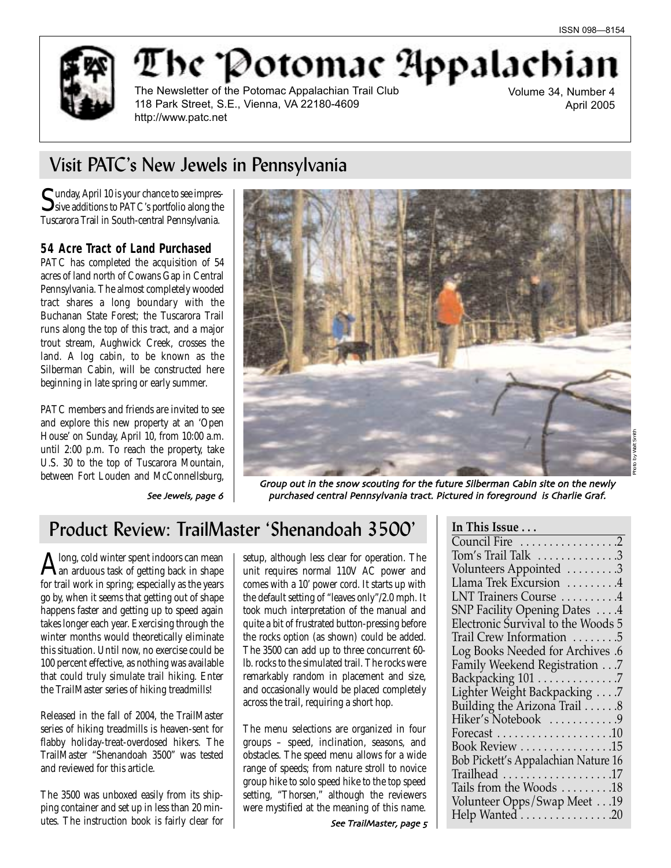Photo by Walt Smith



The 'Potomac Appalachi

The Newsletter of the Potomac Appalachian Trail Club 118 Park Street, S.E., Vienna, VA 22180-4609 http://www.patc.net

Volume 34, Number 4 April 2005

# Visit PATC's New Jewels in Pennsylvania

Sunday, April 10 is your chance to see impres-<br>Sive additions to PATC's portfolio along the Tuscarora Trail in South-central Pennsylvania.

### **54 Acre Tract of Land Purchased**

PATC has completed the acquisition of 54 acres of land north of Cowans Gap in Central Pennsylvania. The almost completely wooded tract shares a long boundary with the Buchanan State Forest; the Tuscarora Trail runs along the top of this tract, and a major trout stream, Aughwick Creek, crosses the land. A log cabin, to be known as the Silberman Cabin, will be constructed here beginning in late spring or early summer.

PATC members and friends are invited to see and explore this new property at an 'Open House' on Sunday, April 10, from 10:00 a.m. until 2:00 p.m. To reach the property, take U.S. 30 to the top of Tuscarora Mountain, between Fort Louden and McConnellsburg,



See Jewels, page 6

Group out in the snow scouting for the future Silberman Cabin site on the newly purchased central Pennsylvania tract. Pictured in foreground is Charlie Graf.

## Product Review: TrailMaster 'Shenandoah 3500'

Along, cold winter spent indoors can mean an arduous task of getting back in shape for trail work in spring; especially as the years go by, when it seems that getting out of shape happens faster and getting up to speed again takes longer each year. Exercising through the winter months would theoretically eliminate this situation. Until now, no exercise could be 100 percent effective, as nothing was available that could truly simulate trail hiking. Enter the TrailMaster series of hiking treadmills!

Released in the fall of 2004, the TrailMaster series of hiking treadmills is heaven-sent for flabby holiday-treat-overdosed hikers. The TrailMaster "Shenandoah 3500" was tested and reviewed for this article.

The 3500 was unboxed easily from its shipping container and set up in less than 20 minutes. The instruction book is fairly clear for setup, although less clear for operation. The unit requires normal 110V AC power and comes with a 10' power cord. It starts up with the default setting of "leaves only"/2.0 mph. It took much interpretation of the manual and quite a bit of frustrated button-pressing before the rocks option (as shown) could be added. The 3500 can add up to three concurrent 60 lb. rocks to the simulated trail. The rocks were remarkably random in placement and size, and occasionally would be placed completely across the trail, requiring a short hop.

The menu selections are organized in four groups – speed, inclination, seasons, and obstacles. The speed menu allows for a wide range of speeds; from nature stroll to novice group hike to solo speed hike to the top speed setting, "Thorsen," although the reviewers were mystified at the meaning of this name.

| In This Issue                       |
|-------------------------------------|
| Council Fire 2                      |
| Tom's Trail Talk 3                  |
| Volunteers Appointed 3              |
| Llama Trek Excursion 4              |
| LNT Trainers Course 4               |
| <b>SNP Facility Opening Dates</b> 4 |
| Electronic Survival to the Woods 5  |
| Trail Crew Information 5            |
| Log Books Needed for Archives .6    |
| Family Weekend Registration 7       |
| Backpacking 101 7                   |
| Lighter Weight Backpacking 7        |
| Building the Arizona Trail 8        |
| Hiker's Notebook 9                  |
|                                     |
| Book Review 15                      |
| Bob Pickett's Appalachian Nature 16 |
|                                     |
| Tails from the Woods 18             |
| Volunteer Opps/Swap Meet 19         |
| Help Wanted 20                      |
|                                     |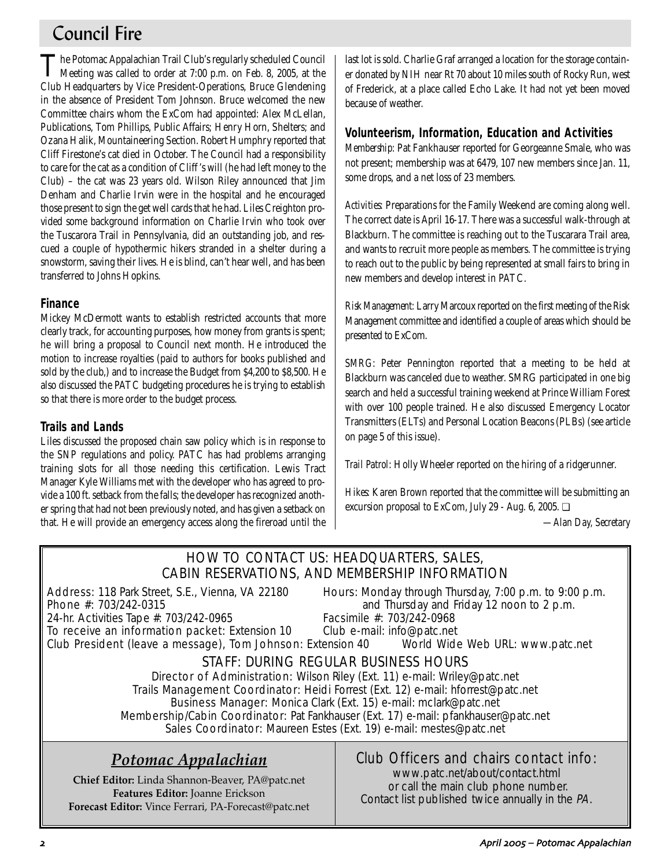## Council Fire

The Potomac Appalachian Trail Club's regularly scheduled Council Meeting was called to order at 7:00 p.m. on Feb. 8, 2005, at the Club Headquarters by Vice President-Operations, Bruce Glendening in the absence of President Tom Johnson. Bruce welcomed the new Committee chairs whom the ExCom had appointed: Alex McLellan, Publications, Tom Phillips, Public Affairs; Henry Horn, Shelters; and Ozana Halik, Mountaineering Section. Robert Humphry reported that Cliff Firestone's cat died in October. The Council had a responsibility to care for the cat as a condition of Cliff 's will (he had left money to the Club) – the cat was 23 years old. Wilson Riley announced that Jim Denham and Charlie Irvin were in the hospital and he encouraged those present to sign the get well cards that he had. Liles Creighton provided some background information on Charlie Irvin who took over the Tuscarora Trail in Pennsylvania, did an outstanding job, and rescued a couple of hypothermic hikers stranded in a shelter during a snowstorm, saving their lives. He is blind, can't hear well, and has been transferred to Johns Hopkins.

### **Finance**

Mickey McDermott wants to establish restricted accounts that more clearly track, for accounting purposes, how money from grants is spent; he will bring a proposal to Council next month. He introduced the motion to increase royalties (paid to authors for books published and sold by the club,) and to increase the Budget from \$4,200 to \$8,500. He also discussed the PATC budgeting procedures he is trying to establish so that there is more order to the budget process.

### **Trails and Lands**

Liles discussed the proposed chain saw policy which is in response to the SNP regulations and policy. PATC has had problems arranging training slots for all those needing this certification. Lewis Tract Manager Kyle Williams met with the developer who has agreed to provide a 100 ft. setback from the falls; the developer has recognized another spring that had not been previously noted, and has given a setback on that. He will provide an emergency access along the fireroad until the last lot is sold. Charlie Graf arranged a location for the storage container donated by NIH near Rt 70 about 10 miles south of Rocky Run, west of Frederick, at a place called Echo Lake. It had not yet been moved because of weather.

### **Volunteerism, Information, Education and Activities**

*Membership:* Pat Fankhauser reported for Georgeanne Smale, who was not present; membership was at 6479, 107 new members since Jan. 11, some drops, and a net loss of 23 members.

*Activities:* Preparations for the Family Weekend are coming along well. The correct date is April 16-17. There was a successful walk-through at Blackburn. The committee is reaching out to the Tuscarara Trail area, and wants to recruit more people as members. The committee is trying to reach out to the public by being represented at small fairs to bring in new members and develop interest in PATC.

*Risk Management:* Larry Marcoux reported on the first meeting of the Risk Management committee and identified a couple of areas which should be presented to ExCom.

*SMRG*: Peter Pennington reported that a meeting to be held at Blackburn was canceled due to weather. SMRG participated in one big search and held a successful training weekend at Prince William Forest with over 100 people trained. He also discussed Emergency Locator Transmitters (ELTs) and Personal Location Beacons (PLBs) (see article on page 5 of this issue).

*Trail Patrol*: Holly Wheeler reported on the hiring of a ridgerunner.

*Hikes*: Karen Brown reported that the committee will be submitting an excursion proposal to ExCom, July 29 - Aug. 6, 2005. ❏

*—Alan Day, Secretary*

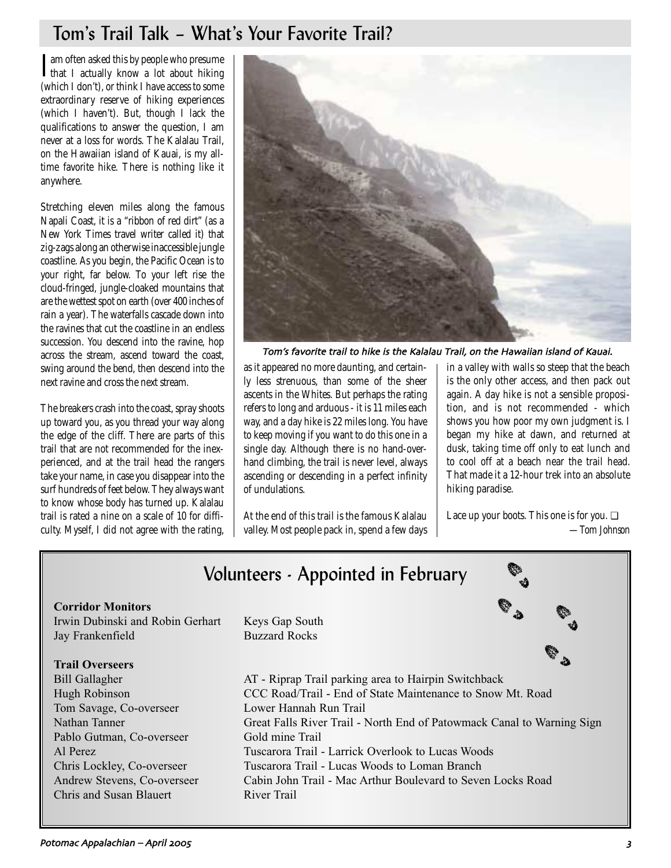## Tom's Trail Talk – What's Your Favorite Trail?

I am often asked this by people who presume<br>that I actually know a lot about hiking that I actually know a lot about hiking (which I don't), or think I have access to some extraordinary reserve of hiking experiences (which I haven't). But, though I lack the qualifications to answer the question, I am never at a loss for words. The Kalalau Trail, on the Hawaiian island of Kauai, is my alltime favorite hike. There is nothing like it anywhere.

Stretching eleven miles along the famous Napali Coast, it is a "ribbon of red dirt" (as a New York Times travel writer called it) that zig-zags along an otherwise inaccessible jungle coastline. As you begin, the Pacific Ocean is to your right, far below. To your left rise the cloud-fringed, jungle-cloaked mountains that are the wettest spot on earth (over 400 inches of rain a year). The waterfalls cascade down into the ravines that cut the coastline in an endless succession. You descend into the ravine, hop across the stream, ascend toward the coast, swing around the bend, then descend into the next ravine and cross the next stream.

The breakers crash into the coast, spray shoots up toward you, as you thread your way along the edge of the cliff. There are parts of this trail that are not recommended for the inexperienced, and at the trail head the rangers take your name, in case you disappear into the surf hundreds of feet below. They always want to know whose body has turned up. Kalalau trail is rated a nine on a scale of 10 for difficulty. Myself, I did not agree with the rating,



Tom's favorite trail to hike is the Kalalau Trail, on the Hawaiian island of Kauai.

as it appeared no more daunting, and certainly less strenuous, than some of the sheer ascents in the Whites. But perhaps the rating refers to long and arduous - it is 11 miles each way, and a day hike is 22 miles long. You have to keep moving if you want to do this one in a single day. Although there is no hand-overhand climbing, the trail is never level, always ascending or descending in a perfect infinity of undulations.

At the end of this trail is the famous Kalalau valley. Most people pack in, spend a few days in a valley with walls so steep that the beach is the only other access, and then pack out again. A day hike is not a sensible proposition, and is not recommended - which shows you how poor my own judgment is. I began my hike at dawn, and returned at dusk, taking time off only to eat lunch and to cool off at a beach near the trail head. That made it a 12-hour trek into an absolute hiking paradise.

Lace up your boots. This one is for you. ❏ *—Tom Johnson*

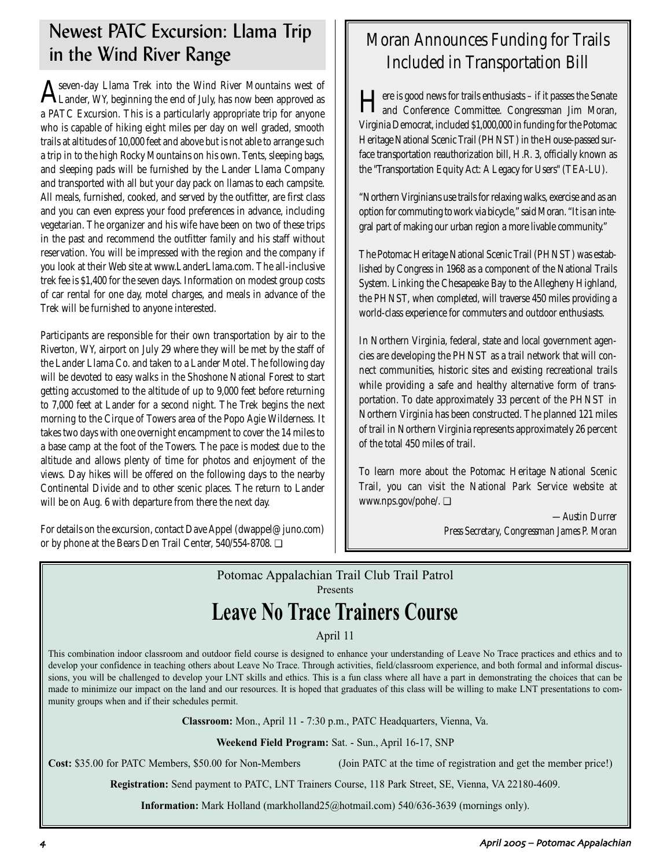## Newest PATC Excursion: Llama Trip in the Wind River Range  $\parallel$  Moran Announces Funding for Trails<br>in the Wind River Range  $\parallel$  Moran Announces Funding for Trails

 ${\rm A}$ seven-day Llama Trek into the Wind River Mountains west of Llander, WY, beginning the end of July, has now been approved as a PATC Excursion. This is a particularly appropriate trip for anyone who is capable of hiking eight miles per day on well graded, smooth trails at altitudes of 10,000 feet and above but is not able to arrange such a trip in to the high Rocky Mountains on his own. Tents, sleeping bags, and sleeping pads will be furnished by the Lander Llama Company and transported with all but your day pack on llamas to each campsite. All meals, furnished, cooked, and served by the outfitter, are first class and you can even express your food preferences in advance, including vegetarian. The organizer and his wife have been on two of these trips in the past and recommend the outfitter family and his staff without reservation. You will be impressed with the region and the company if you look at their Web site at www.LanderLlama.com. The all-inclusive trek fee is \$1,400 for the seven days. Information on modest group costs of car rental for one day, motel charges, and meals in advance of the Trek will be furnished to anyone interested.

Participants are responsible for their own transportation by air to the Riverton, WY, airport on July 29 where they will be met by the staff of the Lander Llama Co. and taken to a Lander Motel. The following day will be devoted to easy walks in the Shoshone National Forest to start getting accustomed to the altitude of up to 9,000 feet before returning to 7,000 feet at Lander for a second night. The Trek begins the next morning to the Cirque of Towers area of the Popo Agie Wilderness. It takes two days with one overnight encampment to cover the 14 miles to a base camp at the foot of the Towers. The pace is modest due to the altitude and allows plenty of time for photos and enjoyment of the views. Day hikes will be offered on the following days to the nearby Continental Divide and to other scenic places. The return to Lander will be on Aug. 6 with departure from there the next day.

For details on the excursion, contact Dave Appel (dwappel@juno.com) or by phone at the Bears Den Trail Center, 540/554-8708. ❏

# Included in Transportation Bill

Here is good news for trails enthusiasts – if it passes the Senate and Conference Committee. Congressman Jim Moran, Virginia Democrat, included \$1,000,000 in funding for the Potomac Heritage National Scenic Trail (PHNST) in the House-passed surface transportation reauthorization bill, H.R. 3, officially known as the "Transportation Equity Act: A Legacy for Users" (TEA-LU).

"Northern Virginians use trails for relaxing walks, exercise and as an option for commuting to work via bicycle," said Moran. "It is an integral part of making our urban region a more livable community."

The Potomac Heritage National Scenic Trail (PHNST) was established by Congress in 1968 as a component of the National Trails System. Linking the Chesapeake Bay to the Allegheny Highland, the PHNST, when completed, will traverse 450 miles providing a world-class experience for commuters and outdoor enthusiasts.

In Northern Virginia, federal, state and local government agencies are developing the PHNST as a trail network that will connect communities, historic sites and existing recreational trails while providing a safe and healthy alternative form of transportation. To date approximately 33 percent of the PHNST in Northern Virginia has been constructed. The planned 121 miles of trail in Northern Virginia represents approximately 26 percent of the total 450 miles of trail.

To learn more about the Potomac Heritage National Scenic Trail, you can visit the National Park Service website at www.nps.gov/pohe/. ❏

> *—Austin Durrer Press Secretary, Congressman James P. Moran*

## Potomac Appalachian Trail Club Trail Patrol Presents **Leave No Trace Trainers Course**

### April 11

This combination indoor classroom and outdoor field course is designed to enhance your understanding of Leave No Trace practices and ethics and to develop your confidence in teaching others about Leave No Trace. Through activities, field/classroom experience, and both formal and informal discussions, you will be challenged to develop your LNT skills and ethics. This is a fun class where all have a part in demonstrating the choices that can be made to minimize our impact on the land and our resources. It is hoped that graduates of this class will be willing to make LNT presentations to community groups when and if their schedules permit.

**Classroom:** Mon., April 11 - 7:30 p.m., PATC Headquarters, Vienna, Va.

**Weekend Field Program:** Sat. - Sun., April 16-17, SNP

**Cost:** \$35.00 for PATC Members, \$50.00 for Non-Members (Join PATC at the time of registration and get the member price!)

**Registration:** Send payment to PATC, LNT Trainers Course, 118 Park Street, SE, Vienna, VA 22180-4609.

**Information:** Mark Holland (markholland25@hotmail.com) 540/636-3639 (mornings only).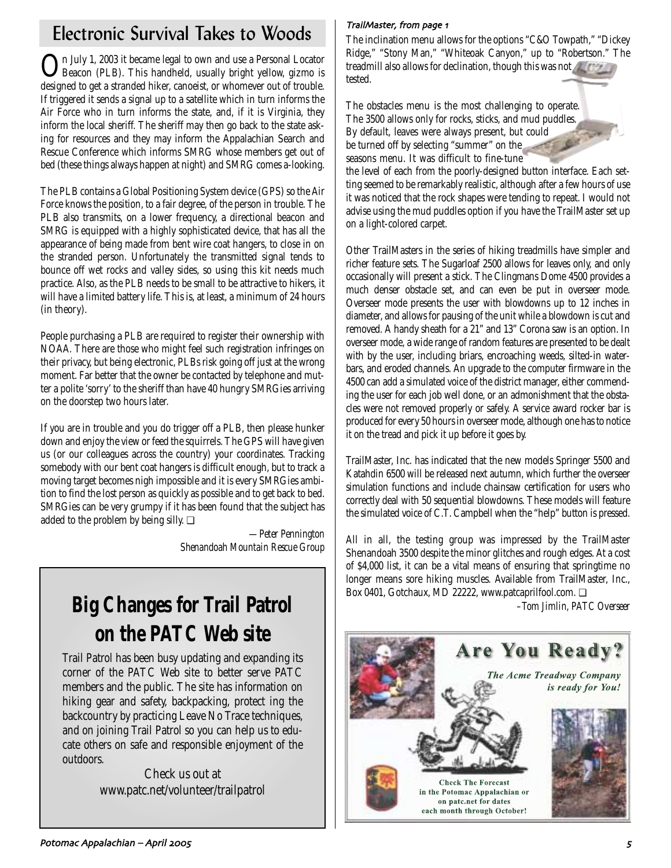# Electronic Survival Takes to Woods  $\left\| \frac{\text{TrainMaster, from page 1}}{\text{The inclusion mean all}} \right\|$

On July 1, 2003 it became legal to own and use a Personal Locator Beacon (PLB). This handheld, usually bright yellow, gizmo is designed to get a stranded hiker, canoeist, or whomever out of trouble. If triggered it sends a signal up to a satellite which in turn informs the Air Force who in turn informs the state, and, if it is Virginia, they inform the local sheriff. The sheriff may then go back to the state asking for resources and they may inform the Appalachian Search and Rescue Conference which informs SMRG whose members get out of bed (these things always happen at night) and SMRG comes a-looking.

The PLB contains a Global Positioning System device (GPS) so the Air Force knows the position, to a fair degree, of the person in trouble. The PLB also transmits, on a lower frequency, a directional beacon and SMRG is equipped with a highly sophisticated device, that has all the appearance of being made from bent wire coat hangers, to close in on the stranded person. Unfortunately the transmitted signal tends to bounce off wet rocks and valley sides, so using this kit needs much practice. Also, as the PLB needs to be small to be attractive to hikers, it will have a limited battery life. This is, at least, a minimum of 24 hours (in theory).

People purchasing a PLB are required to register their ownership with NOAA. There are those who might feel such registration infringes on their privacy, but being electronic, PLBs risk going off just at the wrong moment. Far better that the owner be contacted by telephone and mutter a polite 'sorry' to the sheriff than have 40 hungry SMRGies arriving on the doorstep two hours later.

If you are in trouble and you do trigger off a PLB, then please hunker down and enjoy the view or feed the squirrels. The GPS will have given us (or our colleagues across the country) your coordinates. Tracking somebody with our bent coat hangers is difficult enough, but to track a moving target becomes nigh impossible and it is every SMRGies ambition to find the lost person as quickly as possible and to get back to bed. SMRGies can be very grumpy if it has been found that the subject has added to the problem by being silly. ❏

> *—Peter Pennington Shenandoah Mountain Rescue Group*

# **Big Changes for Trail Patrol on the PATC Web site**

Trail Patrol has been busy updating and expanding its corner of the PATC Web site to better serve PATC members and the public. The site has information on hiking gear and safety, backpacking, protect ing the backcountry by practicing Leave No Trace techniques, and on joining Trail Patrol so you can help us to educate others on safe and responsible enjoyment of the outdoors.

Check us out at www.patc.net/volunteer/trailpatrol

The inclination menu allows for the options "C&O Towpath," "Dickey Ridge," "Stony Man," "Whiteoak Canyon," up to "Robertson." The treadmill also allows for declination, though this was not tested.

The obstacles menu is the most challenging to operate. The 3500 allows only for rocks, sticks, and mud puddles. By default, leaves were always present, but could be turned off by selecting "summer" on the seasons menu. It was difficult to fine-tune

the level of each from the poorly-designed button interface. Each setting seemed to be remarkably realistic, although after a few hours of use it was noticed that the rock shapes were tending to repeat. I would not advise using the mud puddles option if you have the TrailMaster set up on a light-colored carpet.

Other TrailMasters in the series of hiking treadmills have simpler and richer feature sets. The Sugarloaf 2500 allows for leaves only, and only occasionally will present a stick. The Clingmans Dome 4500 provides a much denser obstacle set, and can even be put in overseer mode. Overseer mode presents the user with blowdowns up to 12 inches in diameter, and allows for pausing of the unit while a blowdown is cut and removed. A handy sheath for a 21" and 13" Corona saw is an option. In overseer mode, a wide range of random features are presented to be dealt with by the user, including briars, encroaching weeds, silted-in waterbars, and eroded channels. An upgrade to the computer firmware in the 4500 can add a simulated voice of the district manager, either commending the user for each job well done, or an admonishment that the obstacles were not removed properly or safely. A service award rocker bar is produced for every 50 hours in overseer mode, although one has to notice it on the tread and pick it up before it goes by.

TrailMaster, Inc. has indicated that the new models Springer 5500 and Katahdin 6500 will be released next autumn, which further the overseer simulation functions and include chainsaw certification for users who correctly deal with 50 sequential blowdowns. These models will feature the simulated voice of C.T. Campbell when the "help" button is pressed.

All in all, the testing group was impressed by the TrailMaster Shenandoah 3500 despite the minor glitches and rough edges. At a cost of \$4,000 list, it can be a vital means of ensuring that springtime no longer means sore hiking muscles. Available from TrailMaster, Inc., Box 0401, Gotchaux, MD 22222, www.patcaprilfool.com. □

*–Tom Jimlin, PATC Overseer*

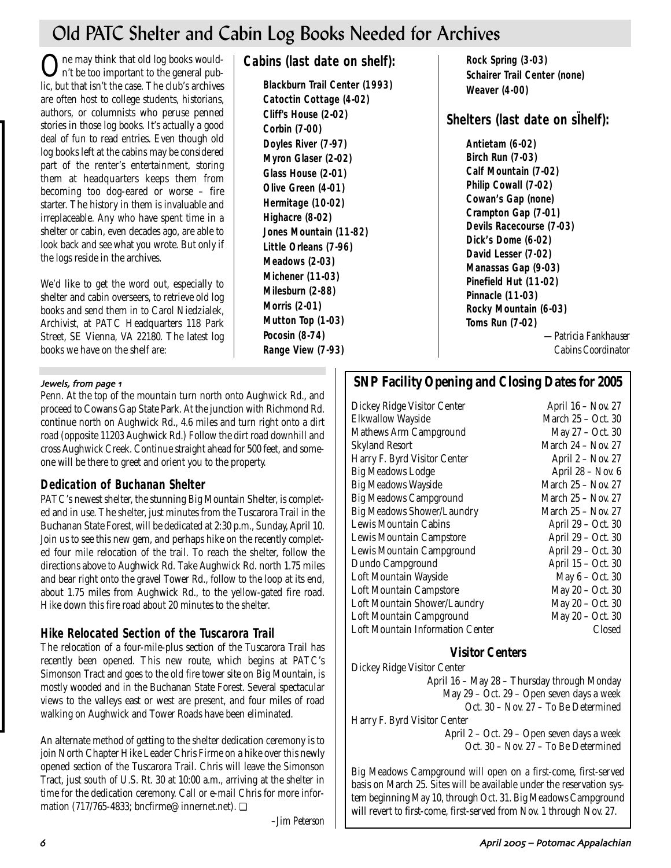# Old PATC Shelter and Cabin Log Books Needed for Archives

One may think that old log books would-n't be too important to the general public, but that isn't the case. The club's archives are often host to college students, historians, authors, or columnists who peruse penned stories in those log books. It's actually a good deal of fun to read entries. Even though old log books left at the cabins may be considered part of the renter's entertainment, storing them at headquarters keeps them from becoming too dog-eared or worse – fire starter. The history in them is invaluable and irreplaceable. Any who have spent time in a shelter or cabin, even decades ago, are able to look back and see what you wrote. But only if the logs reside in the archives.

We'd like to get the word out, especially to shelter and cabin overseers, to retrieve old log books and send them in to Carol Niedzialek, Archivist, at PATC Headquarters 118 Park Street, SE Vienna, VA 22180. The latest log books we have on the shelf are:

#### Jewels, from page 1

Penn. At the top of the mountain turn north onto Aughwick Rd., and proceed to Cowans Gap State Park. At the junction with Richmond Rd. continue north on Aughwick Rd., 4.6 miles and turn right onto a dirt road (opposite 11203 Aughwick Rd.) Follow the dirt road downhill and cross Aughwick Creek. Continue straight ahead for 500 feet, and someone will be there to greet and orient you to the property.

### **Dedication of Buchanan Shelter**

PATC's newest shelter, the stunning Big Mountain Shelter, is completed and in use. The shelter, just minutes from the Tuscarora Trail in the Buchanan State Forest, will be dedicated at 2:30 p.m., Sunday, April 10. Join us to see this new gem, and perhaps hike on the recently completed four mile relocation of the trail. To reach the shelter, follow the directions above to Aughwick Rd. Take Aughwick Rd. north 1.75 miles and bear right onto the gravel Tower Rd., follow to the loop at its end, about 1.75 miles from Aughwick Rd., to the yellow-gated fire road. Hike down this fire road about 20 minutes to the shelter.

### **Hike Relocated Section of the Tuscarora Trail**

The relocation of a four-mile-plus section of the Tuscarora Trail has recently been opened. This new route, which begins at PATC's Simonson Tract and goes to the old fire tower site on Big Mountain, is mostly wooded and in the Buchanan State Forest. Several spectacular views to the valleys east or west are present, and four miles of road walking on Aughwick and Tower Roads have been eliminated.

An alternate method of getting to the shelter dedication ceremony is to join North Chapter Hike Leader Chris Firme on a hike over this newly opened section of the Tuscarora Trail. Chris will leave the Simonson Tract, just south of U.S. Rt. 30 at 10:00 a.m., arriving at the shelter in time for the dedication ceremony. Call or e-mail Chris for more information (717/765-4833; bncfirme@innernet.net). ❏

*–Jim Peterson*

### **Cabins (last date on shelf):**

**Blackburn Trail Center (1993) Catoctin Cottage (4-02) Cliff's House (2-02) Corbin (7-00) Doyles River (7-97) Myron Glaser (2-02) Glass House (2-01) Olive Green (4-01) Hermitage (10-02) Highacre (8-02) Jones Mountain (11-82) Little Orleans (7-96) Meadows (2-03) Michener (11-03) Milesburn (2-88) Morris (2-01) Mutton Top (1-03) Pocosin (8-74) Range View (7-93)** 

**Rock Spring (3-03) Schairer Trail Center (none) Weaver (4-00)** 

## **Shelters (last date on sÏhelf):**

**Antietam (6-02) Birch Run (7-03) Calf Mountain (7-02) Philip Cowall (7-02) Cowan's Gap (none) Crampton Gap (7-01) Devils Racecourse (7-03) Dick's Dome (6-02) David Lesser (7-02) Manassas Gap (9-03) Pinefield Hut (11-02) Pinnacle (11-03) Rocky Mountain (6-03) Toms Run (7-02)** 

*—Patricia Fankhauser Cabins Coordinator* 

## **SNP Facility Opening and Closing Dates for 2005**

Dickey Ridge Visitor Center April 16 – Nov. 27 Elkwallow Wayside March 25 – Oct. 30 Mathews Arm Campground May 27 – Oct. 30 Skyland Resort March 24 – Nov. 27 Harry F. Byrd Visitor Center April 2 – Nov. 27 Big Meadows Lodge April 28 – Nov. 6 Big Meadows Wayside March 25 – Nov. 27 Big Meadows Campground March 25 - Nov. 27 Big Meadows Shower/Laundry March 25 – Nov. 27 Lewis Mountain Cabins April 29 – Oct. 30 Lewis Mountain Campstore **April 29 – Oct. 30** Lewis Mountain Campground April 29 – Oct. 30 Dundo Campground April 15 – Oct. 30 Loft Mountain Wayside May 6 – Oct. 30 Loft Mountain Campstore May 20 – Oct. 30 Loft Mountain Shower/Laundry May 20 – Oct. 30 Loft Mountain Campground May 20 – Oct. 30 Loft Mountain Information Center Closed

### **Visitor Centers**

Dickey Ridge Visitor Center

April 16 – May 28 – Thursday through Monday May 29 – Oct. 29 – Open seven days a week Oct. 30 – Nov. 27 – To Be Determined Harry F. Byrd Visitor Center

April 2 – Oct. 29 – Open seven days a week Oct. 30 – Nov. 27 – To Be Determined

Big Meadows Campground will open on a first-come, first-served basis on March 25. Sites will be available under the reservation system beginning May 10, through Oct. 31. Big Meadows Campground will revert to first-come, first-served from Nov. 1 through Nov. 27.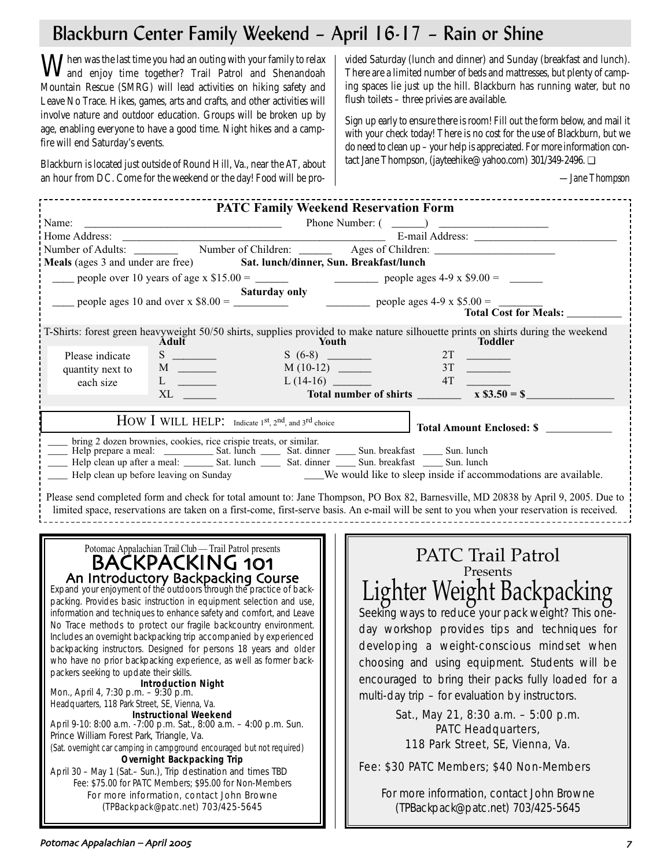# Blackburn Center Family Weekend – April 16-17 – Rain or Shine

When was the last time you had an outing with your family to relax<br>and enjoy time together? Trail Patrol and Shenandoah<br>and Shenandoah Mountain Rescue (SMRG) will lead activities on hiking safety and Leave No Trace. Hikes, games, arts and crafts, and other activities will involve nature and outdoor education. Groups will be broken up by age, enabling everyone to have a good time. Night hikes and a campfire will end Saturday's events.

Blackburn is located just outside of Round Hill, Va., near the AT, about an hour from DC. Come for the weekend or the day! Food will be provided Saturday (lunch and dinner) and Sunday (breakfast and lunch). There are a limited number of beds and mattresses, but plenty of camping spaces lie just up the hill. Blackburn has running water, but no flush toilets – three privies are available.

Sign up early to ensure there is room! Fill out the form below, and mail it with your check today! There is no cost for the use of Blackburn, but we do need to clean up – your help is appreciated. For more information contact Jane Thompson, (jayteehike@yahoo.com) 301/349-2496. ❏

*—Jane Thompson*

| <b>PATC Family Weekend Reservation Form</b>                                                                                                                                                                                                                                                                                                                                                                                                                                                                                                                                                                                                                                                                                                                                                                                                                                                                                                                                                                                                                                                                                                                                                                                                       |                                                                                                                                                                                                                                                                                                                                                                                                                                                                                                                                                                                                             |  |
|---------------------------------------------------------------------------------------------------------------------------------------------------------------------------------------------------------------------------------------------------------------------------------------------------------------------------------------------------------------------------------------------------------------------------------------------------------------------------------------------------------------------------------------------------------------------------------------------------------------------------------------------------------------------------------------------------------------------------------------------------------------------------------------------------------------------------------------------------------------------------------------------------------------------------------------------------------------------------------------------------------------------------------------------------------------------------------------------------------------------------------------------------------------------------------------------------------------------------------------------------|-------------------------------------------------------------------------------------------------------------------------------------------------------------------------------------------------------------------------------------------------------------------------------------------------------------------------------------------------------------------------------------------------------------------------------------------------------------------------------------------------------------------------------------------------------------------------------------------------------------|--|
|                                                                                                                                                                                                                                                                                                                                                                                                                                                                                                                                                                                                                                                                                                                                                                                                                                                                                                                                                                                                                                                                                                                                                                                                                                                   |                                                                                                                                                                                                                                                                                                                                                                                                                                                                                                                                                                                                             |  |
|                                                                                                                                                                                                                                                                                                                                                                                                                                                                                                                                                                                                                                                                                                                                                                                                                                                                                                                                                                                                                                                                                                                                                                                                                                                   |                                                                                                                                                                                                                                                                                                                                                                                                                                                                                                                                                                                                             |  |
| Home Address: E-mail Address: E-mail Address: E-mail Address: E-mail Address: Number of Adults: Number of Children: Ages of Children: Number of Children: Number of Children: Number of Children: Number of Children: Number o                                                                                                                                                                                                                                                                                                                                                                                                                                                                                                                                                                                                                                                                                                                                                                                                                                                                                                                                                                                                                    |                                                                                                                                                                                                                                                                                                                                                                                                                                                                                                                                                                                                             |  |
| Meals (ages 3 and under are free) Sat. lunch/dinner, Sun. Breakfast/lunch                                                                                                                                                                                                                                                                                                                                                                                                                                                                                                                                                                                                                                                                                                                                                                                                                                                                                                                                                                                                                                                                                                                                                                         |                                                                                                                                                                                                                                                                                                                                                                                                                                                                                                                                                                                                             |  |
|                                                                                                                                                                                                                                                                                                                                                                                                                                                                                                                                                                                                                                                                                                                                                                                                                                                                                                                                                                                                                                                                                                                                                                                                                                                   |                                                                                                                                                                                                                                                                                                                                                                                                                                                                                                                                                                                                             |  |
|                                                                                                                                                                                                                                                                                                                                                                                                                                                                                                                                                                                                                                                                                                                                                                                                                                                                                                                                                                                                                                                                                                                                                                                                                                                   |                                                                                                                                                                                                                                                                                                                                                                                                                                                                                                                                                                                                             |  |
|                                                                                                                                                                                                                                                                                                                                                                                                                                                                                                                                                                                                                                                                                                                                                                                                                                                                                                                                                                                                                                                                                                                                                                                                                                                   | people ages 10 and over x \$8.00 = $\frac{\text{Saturday only}}{\text{expansion}}$ people ages 4-9 x \$5.00 = $\frac{\text{Total Cost for M}}{\text{Total Cost for M}}$                                                                                                                                                                                                                                                                                                                                                                                                                                     |  |
|                                                                                                                                                                                                                                                                                                                                                                                                                                                                                                                                                                                                                                                                                                                                                                                                                                                                                                                                                                                                                                                                                                                                                                                                                                                   | Total Cost for Meals:                                                                                                                                                                                                                                                                                                                                                                                                                                                                                                                                                                                       |  |
|                                                                                                                                                                                                                                                                                                                                                                                                                                                                                                                                                                                                                                                                                                                                                                                                                                                                                                                                                                                                                                                                                                                                                                                                                                                   | T-Shirts: forest green heavyweight 50/50 shirts, supplies provided to make nature silhouette prints on shirts during the weekend<br><b>Youth</b><br><b>Toddler</b>                                                                                                                                                                                                                                                                                                                                                                                                                                          |  |
| Please indicate                                                                                                                                                                                                                                                                                                                                                                                                                                                                                                                                                                                                                                                                                                                                                                                                                                                                                                                                                                                                                                                                                                                                                                                                                                   |                                                                                                                                                                                                                                                                                                                                                                                                                                                                                                                                                                                                             |  |
| quantity next to                                                                                                                                                                                                                                                                                                                                                                                                                                                                                                                                                                                                                                                                                                                                                                                                                                                                                                                                                                                                                                                                                                                                                                                                                                  |                                                                                                                                                                                                                                                                                                                                                                                                                                                                                                                                                                                                             |  |
| $L \quad \underline{\qquad}$<br>each size                                                                                                                                                                                                                                                                                                                                                                                                                                                                                                                                                                                                                                                                                                                                                                                                                                                                                                                                                                                                                                                                                                                                                                                                         | $S = (6-8)$<br>$M = (10-12)$<br>$L = (14-16)$<br>$S = T$<br>$S = T$<br>$S = T$<br>$T = T$<br>$T = T$<br>$T = T$<br>$T = T$<br>$T = T$<br>$T = T$<br>$T = T$<br>$T = T$<br>$T = T$<br>$T = T$<br>$T = T$<br>$T = T$<br>$T = T$<br>$T = T$<br>$T = T$<br>$T = T$<br>$T = T$<br>$T = T$<br>$T = T$<br>$T = T$<br>$T = T$<br>$T = T$<br>$T = T$<br>$T$                                                                                                                                                                                                                                                          |  |
|                                                                                                                                                                                                                                                                                                                                                                                                                                                                                                                                                                                                                                                                                                                                                                                                                                                                                                                                                                                                                                                                                                                                                                                                                                                   | L (14-16) $\overline{\phantom{125\phantom{1}}\phantom{1}}$ Total number of shirts $\overline{\phantom{125\phantom{1}}\phantom{1}}$ $\overline{\phantom{125\phantom{1}}\phantom{1}}$ $\overline{\phantom{125\phantom{1}}\phantom{1}}$ $\overline{\phantom{125\phantom{1}}\phantom{1}}$ $\overline{\phantom{125\phantom{1}}\phantom{1}}$ $\overline{\phantom{125\phantom{1}}\phantom{1}}$ $\overline{\phantom{125\phant$                                                                                                                                                                                      |  |
|                                                                                                                                                                                                                                                                                                                                                                                                                                                                                                                                                                                                                                                                                                                                                                                                                                                                                                                                                                                                                                                                                                                                                                                                                                                   |                                                                                                                                                                                                                                                                                                                                                                                                                                                                                                                                                                                                             |  |
| HOW I WILL HELP: Indicate 1st, 2nd, and 3rd choice<br>bring 2 dozen brownies, cookies, rice crispie treats, or similar.                                                                                                                                                                                                                                                                                                                                                                                                                                                                                                                                                                                                                                                                                                                                                                                                                                                                                                                                                                                                                                                                                                                           | Total Amount Enclosed: \$                                                                                                                                                                                                                                                                                                                                                                                                                                                                                                                                                                                   |  |
| Help prepare a meal: Sat. lunch Sat. dinner Sat. dinner Sun. breakfast Sun. lunch<br>Help clean up after a meal: Sat. lunch Sat. dinner Sun. breakfast Sun. lunch                                                                                                                                                                                                                                                                                                                                                                                                                                                                                                                                                                                                                                                                                                                                                                                                                                                                                                                                                                                                                                                                                 | Help clean up before leaving on Sunday ______We would like to sleep inside if accommodations are available.<br>Please send completed form and check for total amount to: Jane Thompson, PO Box 82, Barnesville, MD 20838 by April 9, 2005. Due to<br>limited space, reservations are taken on a first-come, first-serve basis. An e-mail will be sent to you when your reservation is received.                                                                                                                                                                                                             |  |
| Potomac Appalachian Trail Club - Trail Patrol presents<br><b>BACKPACKING 101</b><br>An Introductory Backpacking Course<br>Expand your enjoyment of the outdoors through the practice of back-<br>packing. Provides basic instruction in equipment selection and use,<br>information and techniques to enhance safety and comfort, and Leave<br>No Trace methods to protect our fragile backcountry environment.<br>Includes an overnight backpacking trip accompanied by experienced<br>backpacking instructors. Designed for persons 18 years and older<br>who have no prior backpacking experience, as well as former back-<br>packers seeking to update their skills.<br><b>Example: Introduction Night</b><br>Mon., April 4, 7:30 p.m. - 9:30 p.m.<br>Headquarters, 118 Park Street, SE, Vienna, Va.<br><b>Instructional Weekend</b><br>April 9-10: 8:00 a.m. -7:00 p.m. Sat., 8:00 a.m. - 4:00 p.m. Sun.<br>Prince William Forest Park, Triangle, Va.<br>(Sat. overnight car camping in campground encouraged but not required)<br><b>Overnight Backpacking Trip</b><br>April 30 - May 1 (Sat.- Sun.), Trip destination and times TBD<br>Fee: \$75.00 for PATC Members; \$95.00 for Non-Members<br>For more information, contact John Browne | PATC Trail Patrol<br>Presents<br>Lighter Weight Backpacking<br>Seeking ways to reduce your pack weight? This one-<br>day workshop provides tips and techniques for<br>developing a weight-conscious mindset when<br>choosing and using equipment. Students will be<br>encouraged to bring their packs fully loaded for a<br>multi-day trip – for evaluation by instructors.<br>Sat., May 21, 8:30 a.m. - 5:00 p.m.<br>PATC Headquarters,<br>118 Park Street, SE, Vienna, Va.<br>Fee: \$30 PATC Members; \$40 Non-Members<br>For more information, contact John Browne<br>(TPBackpack@patc.net) 703/425-5645 |  |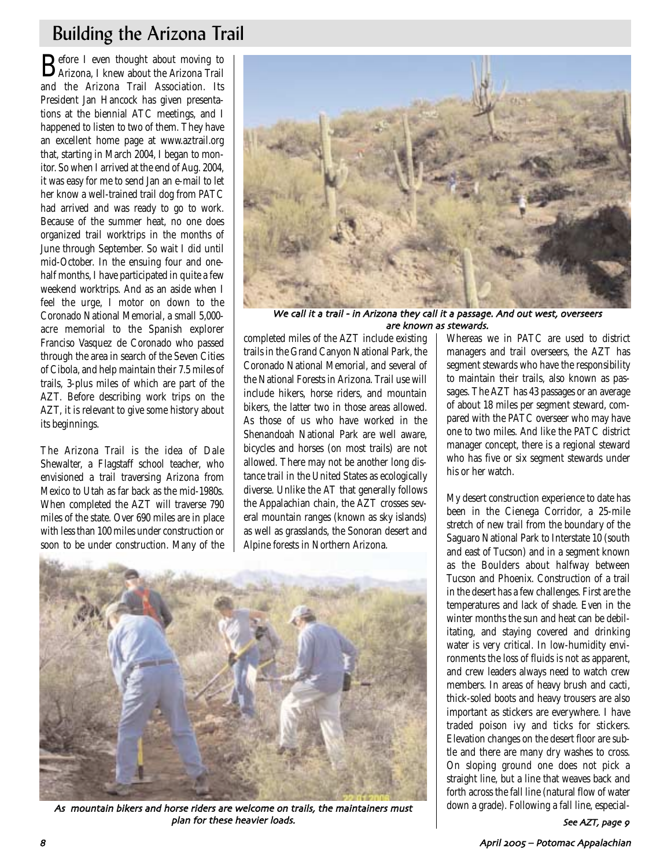# Building the Arizona Trail

Before I even thought about moving to Arizona, I knew about the Arizona Trail and the Arizona Trail Association. Its President Jan Hancock has given presentations at the biennial ATC meetings, and I happened to listen to two of them. They have an excellent home page at www.aztrail.org that, starting in March 2004, I began to monitor. So when I arrived at the end of Aug. 2004, it was easy for me to send Jan an e-mail to let her know a well-trained trail dog from PATC had arrived and was ready to go to work. Because of the summer heat, no one does organized trail worktrips in the months of June through September. So wait I did until mid-October. In the ensuing four and onehalf months, I have participated in quite a few weekend worktrips. And as an aside when I feel the urge, I motor on down to the Coronado National Memorial, a small 5,000 acre memorial to the Spanish explorer Franciso Vasquez de Coronado who passed through the area in search of the Seven Cities of Cibola, and help maintain their 7.5 miles of trails, 3-plus miles of which are part of the AZT. Before describing work trips on the AZT, it is relevant to give some history about its beginnings.

The Arizona Trail is the idea of Dale Shewalter, a Flagstaff school teacher, who envisioned a trail traversing Arizona from Mexico to Utah as far back as the mid-1980s. When completed the AZT will traverse 790 miles of the state. Over 690 miles are in place with less than 100 miles under construction or soon to be under construction. Many of the



We call it a trail - in Arizona they call it a passage. And out west, overseers are known as stewards

completed miles of the AZT include existing trails in the Grand Canyon National Park, the Coronado National Memorial, and several of the National Forests in Arizona. Trail use will include hikers, horse riders, and mountain bikers, the latter two in those areas allowed. As those of us who have worked in the Shenandoah National Park are well aware, bicycles and horses (on most trails) are not allowed. There may not be another long distance trail in the United States as ecologically diverse. Unlike the AT that generally follows the Appalachian chain, the AZT crosses several mountain ranges (known as sky islands) as well as grasslands, the Sonoran desert and Alpine forests in Northern Arizona.



As mountain bikers and horse riders are welcome on trails, the maintainers must plan for these heavier loads

Whereas we in PATC are used to district managers and trail overseers, the AZT has segment stewards who have the responsibility to maintain their trails, also known as passages. The AZT has 43 passages or an average of about 18 miles per segment steward, compared with the PATC overseer who may have one to two miles. And like the PATC district manager concept, there is a regional steward who has five or six segment stewards under his or her watch.

My desert construction experience to date has been in the Cienega Corridor, a 25-mile stretch of new trail from the boundary of the Saguaro National Park to Interstate 10 (south and east of Tucson) and in a segment known as the Boulders about halfway between Tucson and Phoenix. Construction of a trail in the desert has a few challenges. First are the temperatures and lack of shade. Even in the winter months the sun and heat can be debilitating, and staying covered and drinking water is very critical. In low-humidity environments the loss of fluids is not as apparent, and crew leaders always need to watch crew members. In areas of heavy brush and cacti, thick-soled boots and heavy trousers are also important as stickers are everywhere. I have traded poison ivy and ticks for stickers. Elevation changes on the desert floor are subtle and there are many dry washes to cross. On sloping ground one does not pick a straight line, but a line that weaves back and forth across the fall line (natural flow of water down a grade). Following a fall line, especial-

See AZT, page 9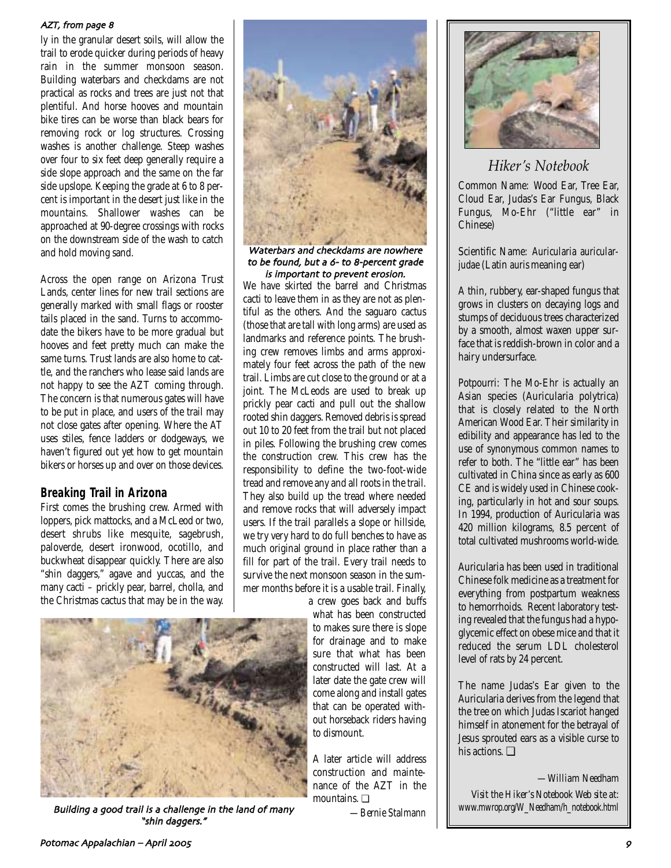#### AZT, from page 8

ly in the granular desert soils, will allow the trail to erode quicker during periods of heavy rain in the summer monsoon season. Building waterbars and checkdams are not practical as rocks and trees are just not that plentiful. And horse hooves and mountain bike tires can be worse than black bears for removing rock or log structures. Crossing washes is another challenge. Steep washes over four to six feet deep generally require a side slope approach and the same on the far side upslope. Keeping the grade at 6 to 8 percent is important in the desert just like in the mountains. Shallower washes can be approached at 90-degree crossings with rocks on the downstream side of the wash to catch and hold moving sand.

Across the open range on Arizona Trust Lands, center lines for new trail sections are generally marked with small flags or rooster tails placed in the sand. Turns to accommodate the bikers have to be more gradual but hooves and feet pretty much can make the same turns. Trust lands are also home to cattle, and the ranchers who lease said lands are not happy to see the AZT coming through. The concern is that numerous gates will have to be put in place, and users of the trail may not close gates after opening. Where the AT uses stiles, fence ladders or dodgeways, we haven't figured out yet how to get mountain bikers or horses up and over on those devices.

### **Breaking Trail in Arizona**

First comes the brushing crew. Armed with loppers, pick mattocks, and a McLeod or two, desert shrubs like mesquite, sagebrush, paloverde, desert ironwood, ocotillo, and buckwheat disappear quickly. There are also "shin daggers," agave and yuccas, and the many cacti – prickly pear, barrel, cholla, and the Christmas cactus that may be in the way.



Building a good trail is a challenge in the land of many "shin daggers."



Waterbars and checkdams are nowhere to be found, but a 6- to 8-percent grade is important to prevent erosion

We have skirted the barrel and Christmas cacti to leave them in as they are not as plentiful as the others. And the saguaro cactus (those that are tall with long arms) are used as landmarks and reference points. The brushing crew removes limbs and arms approximately four feet across the path of the new trail. Limbs are cut close to the ground or at a joint. The McLeods are used to break up prickly pear cacti and pull out the shallow rooted shin daggers. Removed debris is spread out 10 to 20 feet from the trail but not placed in piles. Following the brushing crew comes the construction crew. This crew has the responsibility to define the two-foot-wide tread and remove any and all roots in the trail. They also build up the tread where needed and remove rocks that will adversely impact users. If the trail parallels a slope or hillside, we try very hard to do full benches to have as much original ground in place rather than a fill for part of the trail. Every trail needs to survive the next monsoon season in the summer months before it is a usable trail. Finally,

a crew goes back and buffs what has been constructed to makes sure there is slope for drainage and to make sure that what has been constructed will last. At a later date the gate crew will come along and install gates that can be operated without horseback riders having to dismount.

A later article will address construction and maintenance of the AZT in the mountains. ❏

*—Bernie Stalmann*



### *Hiker's Notebook*

Common Name: Wood Ear, Tree Ear, Cloud Ear, Judas's Ear Fungus, Black Fungus, Mo-Ehr ("little ear" in Chinese)

Scientific Name: *Auricularia auricularjudae* (Latin *auris* meaning ear)

A thin, rubbery, ear-shaped fungus that grows in clusters on decaying logs and stumps of deciduous trees characterized by a smooth, almost waxen upper surface that is reddish-brown in color and a hairy undersurface.

Potpourri: The Mo-Ehr is actually an Asian species (Auricularia polytrica) that is closely related to the North American Wood Ear. Their similarity in edibility and appearance has led to the use of synonymous common names to refer to both. The "little ear" has been cultivated in China since as early as 600 CE and is widely used in Chinese cooking, particularly in hot and sour soups. In 1994, production of Auricularia was 420 million kilograms, 8.5 percent of total cultivated mushrooms world-wide.

Auricularia has been used in traditional Chinese folk medicine as a treatment for everything from postpartum weakness to hemorrhoids. Recent laboratory testing revealed that the fungus had a hypoglycemic effect on obese mice and that it reduced the serum LDL cholesterol level of rats by 24 percent.

The name Judas's Ear given to the Auricularia derives from the legend that the tree on which Judas Iscariot hanged himself in atonement for the betrayal of Jesus sprouted ears as a visible curse to his actions. ❏

*—William Needham*

*Visit the Hiker's Notebook Web site at: www.mwrop.org/W\_Needham/h\_notebook.html*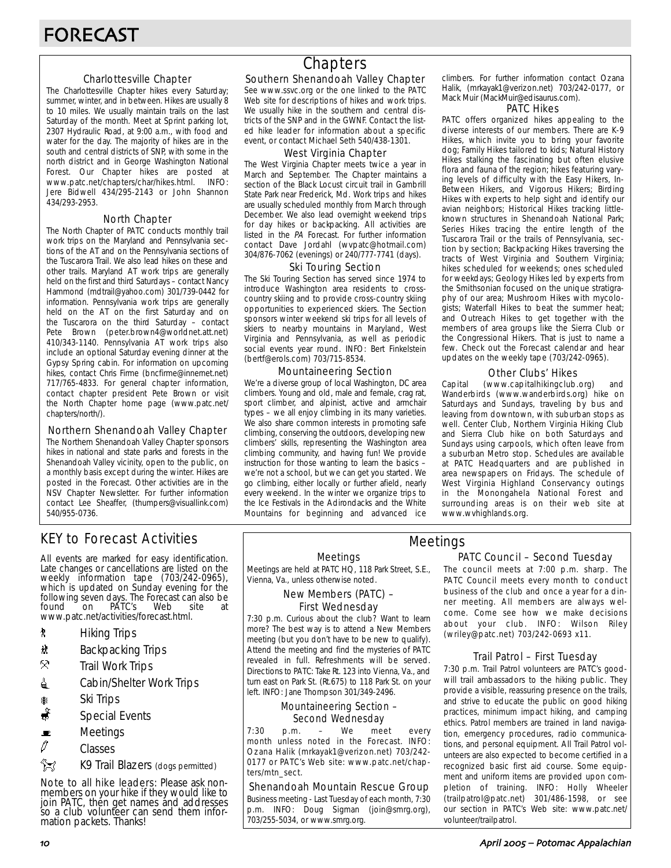#### Charlottesville Chapter

The Charlottesville Chapter hikes every Saturday; summer, winter, and in between. Hikes are usually 8 to 10 miles. We usually maintain trails on the last Saturday of the month. Meet at Sprint parking lot, 2307 Hydraulic Road, at 9:00 a.m., with food and water for the day. The majority of hikes are in the south and central districts of SNP, with some in the north district and in George Washington National Forest. Our Chapter hikes are posted at www.patc.net/chapters/char/hikes.html. INFO: www.patc.net/chapters/char/hikes.html. Jere Bidwell 434/295-2143 or John Shannon 434/293-2953.

#### North Chapter

The North Chapter of PATC conducts monthly trail work trips on the Maryland and Pennsylvania sections of the AT and on the Pennsylvania sections of the Tuscarora Trail. We also lead hikes on these and other trails. Maryland AT work trips are generally held on the first and third Saturdays – contact Nancy Hammond (mdtrail@yahoo.com) 301/739-0442 for information. Pennsylvania work trips are generally held on the AT on the first Saturday and on the Tuscarora on the third Saturday – contact Pete Brown (peter.brown4@worldnet.att.net) 410/343-1140. Pennsylvania AT work trips also include an optional Saturday evening dinner at the Gypsy Spring cabin. For information on upcoming hikes, contact Chris Firme (bncfirme@innernet.net) 717/765-4833. For general chapter information, contact chapter president Pete Brown or visit the North Chapter home page (www.patc.net/ chapters/north/).

#### Northern Shenandoah Valley Chapter

The Northern Shenandoah Valley Chapter sponsors hikes in national and state parks and forests in the Shenandoah Valley vicinity, open to the public, on a monthly basis except during the winter. Hikes are posted in the Forecast. Other activities are in the NSV Chapter Newsletter. For further information contact Lee Sheaffer, (thumpers@visuallink.com) 540/955-0736.

## **Chapters**

#### Southern Shenandoah Valley Chapter

See www.ssvc.org or the one linked to the PATC Web site for descriptions of hikes and work trips. We usually hike in the southern and central districts of the SNP and in the GWNF. Contact the listed hike leader for information about a specific event, or contact Michael Seth 540/438-1301.

#### West Virginia Chapter

The West Virginia Chapter meets twice a year in March and September. The Chapter maintains a section of the Black Locust circuit trail in Gambrill State Park near Frederick, Md. Work trips and hikes are usually scheduled monthly from March through December. We also lead overnight weekend trips for day hikes or backpacking. All activities are listed in the PA Forecast. For further information contact Dave Jordahl (wvpatc@hotmail.com) 304/876-7062 (evenings) or 240/777-7741 (days).

#### Ski Touring Section

The Ski Touring Section has served since 1974 to introduce Washington area residents to crosscountry skiing and to provide cross-country skiing opportunities to experienced skiers. The Section sponsors winter weekend ski trips for all levels of skiers to nearby mountains in Maryland, West Virginia and Pennsylvania, as well as periodic social events year round. INFO: Bert Finkelstein (bertf@erols.com) 703/715-8534.

#### Mountaineering Section

We're a diverse group of local Washington, DC area climbers. Young and old, male and female, crag rat, sport climber, and alpinist, active and armchair types – we all enjoy climbing in its many varieties. We also share common interests in promoting safe climbing, conserving the outdoors, developing new climbers' skills, representing the Washington area climbing community, and having fun! We provide instruction for those wanting to learn the basics – we're not a school, but we can get you started. We go climbing, either locally or further afield, nearly every weekend. In the winter we organize trips to the Ice Festivals in the Adirondacks and the White Mountains for beginning and advanced ice climbers. For further information contact Ozana Halik, (mrkayak1@verizon.net) 703/242-0177, or Mack Muir (MackMuir@edisaurus.com).

#### PATC Hikes

PATC offers organized hikes appealing to the diverse interests of our members. There are K-9 Hikes, which invite you to bring your favorite dog; Family Hikes tailored to kids; Natural History Hikes stalking the fascinating but often elusive flora and fauna of the region; hikes featuring varying levels of difficulty with the Easy Hikers, In-Between Hikers, and Vigorous Hikers; Birding Hikes with experts to help sight and identify our avian neighbors; Historical Hikes tracking littleknown structures in Shenandoah National Park; Series Hikes tracing the entire length of the Tuscarora Trail or the trails of Pennsylvania, section by section; Backpacking Hikes traversing the tracts of West Virginia and Southern Virginia; hikes scheduled for weekends; ones scheduled for weekdays; Geology Hikes led by experts from the Smithsonian focused on the unique stratigraphy of our area; Mushroom Hikes with mycologists; Waterfall Hikes to beat the summer heat; and Outreach Hikes to get together with the members of area groups like the Sierra Club or the Congressional Hikers. That is just to name a few. Check out the Forecast calendar and hear updates on the weekly tape (703/242-0965).

#### Other Clubs' Hikes

Capital (www.capitalhikingclub.org) and Wanderbirds (www.wanderbirds.org) hike on Saturdays and Sundays, traveling by bus and leaving from downtown, with suburban stops as well. Center Club, Northern Virginia Hiking Club and Sierra Club hike on both Saturdays and Sundays using carpools, which often leave from a suburban Metro stop. Schedules are available at PATC Headquarters and are published in area newspapers on Fridays. The schedule of West Virginia Highland Conservancy outings in the Monongahela National Forest and surrounding areas is on their web site at www.wvhighlands.org.

### KEY to Forecast Activities

All events are marked for easy identification. Late changes or cancellations are listed on the weekly information tape (703/242-0965), which is updated on Sunday evening for the following seven days. The Forecast can also be found on PATC's Web site at www.patc.net/activities/forecast.html.

- **\*** Hiking Trips
- \* Backpacking Trips
- $\mathcal{R}$  Trail Work Trips
- **i** Cabin/Shelter Work Trips
- \* Ski Trips
- Special Events
- $\blacksquare$  Meetings
- $\varnothing$  Classes
- $\frac{2}{3}$  K9 Trail Blazers (dogs permitted)

Note to all hike leaders: Please ask nonmembers on your hike if they would like to join PATC, then get names and addresses so a club volunteer can send them information packets. Thanks!

Meetings

Meetings are held at PATC HQ, 118 Park Street, S.E., Vienna, Va., unless otherwise noted.

#### New Members (PATC) – First Wednesday

7:30 p.m. Curious about the club? Want to learn more? The best way is to attend a New Members meeting (but you don't have to be new to qualify). Attend the meeting and find the mysteries of PATC revealed in full. Refreshments will be served. Directions to PATC: Take Rt. 123 into Vienna, Va., and turn east on Park St. (Rt.675) to 118 Park St. on your left. INFO: Jane Thompson 301/349-2496.

#### Mountaineering Section – Second Wednesday

7:30 p.m. – We meet every month unless noted in the Forecast. INFO: Ozana Halik (mrkayak1@verizon.net) 703/242- 0177 or PATC's Web site: www.patc.net/chapters/mtn\_sect.

#### Shenandoah Mountain Rescue Group

Business meeting - Last Tuesday of each month, 7:30 p.m. INFO: Doug Sigman (join@smrg.org), 703/255-5034, or www.smrg.org.

#### PATC Council – Second Tuesday Meetings

The council meets at 7:00 p.m. sharp. The PATC Council meets every month to conduct business of the club and once a year for a dinner meeting. All members are always welcome. Come see how we make decisions about your club. INFO: Wilson Riley (wriley@patc.net) 703/242-0693 x11.

#### Trail Patrol – First Tuesday

7:30 p.m. Trail Patrol volunteers are PATC's goodwill trail ambassadors to the hiking public. They provide a visible, reassuring presence on the trails, and strive to educate the public on good hiking practices, minimum impact hiking, and camping ethics. Patrol members are trained in land navigation, emergency procedures, radio communications, and personal equipment. All Trail Patrol volunteers are also expected to become certified in a recognized basic first aid course. Some equipment and uniform items are provided upon completion of training. INFO: Holly Wheeler (trailpatrol@patc.net) 301/486-1598, or see our section in PATC's Web site: www.patc.net/ volunteer/trailpatrol.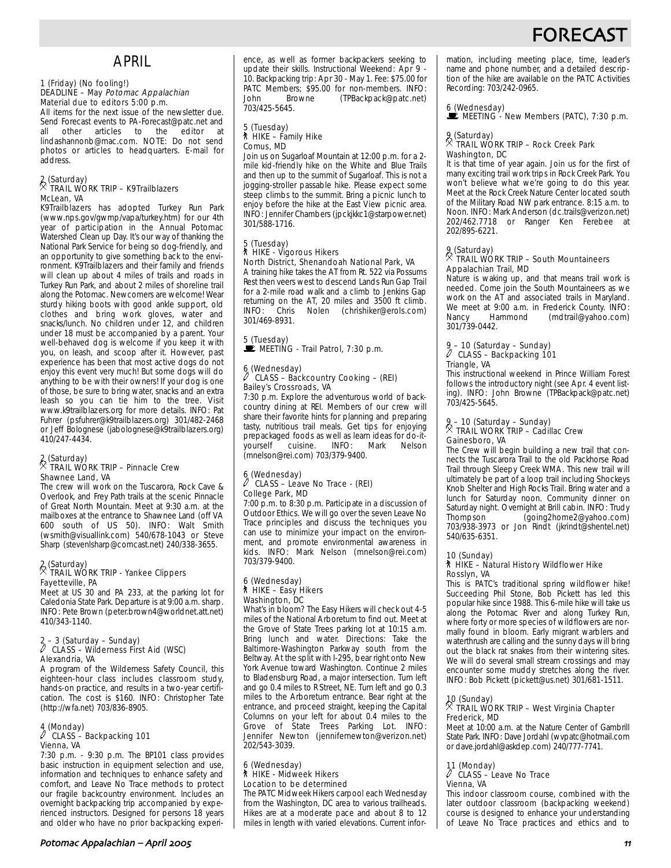## **FORECAS**

## APRIL

#### 1 (Friday) (No fooling!) DEADLINE – May Potomac Appalachian Material due to editors 5:00 p.m.

All items for the next issue of the newsletter due. Send Forecast events to PA-Forecast@patc.net and all other articles to the editor at lindashannonb@mac.com. NOTE: Do not send photos or articles to headquarters. E-mail for address.

#### 2 (Saturday) . TRAIL WORK TRIP – K9Trailblazers McLean, VA

K9Trailblazers has adopted Turkey Run Park (www.nps.gov/gwmp/vapa/turkey.htm) for our 4th year of participation in the Annual Potomac Watershed Clean up Day. It's our way of thanking the National Park Service for being so dog-friendly, and an opportunity to give something back to the environment. K9Trailblazers and their family and friends will clean up about 4 miles of trails and roads in Turkey Run Park, and about 2 miles of shoreline trail along the Potomac. Newcomers are welcome! Wear sturdy hiking boots with good ankle support, old clothes and bring work gloves, water and snacks/lunch. No children under 12, and children under 18 must be accompanied by a parent. Your well-behaved dog is welcome if you keep it with you, on leash, and scoop after it. However, past experience has been that most active dogs do not enjoy this event very much! But some dogs will do anything to be with their owners! If your dog is one of those, be sure to bring water, snacks and an extra leash so you can tie him to the tree. Visit www.k9trailblazers.org for more details. INFO: Pat Fuhrer (psfuhrer@k9trailblazers.org) 301/482-2468 or Jeff Bolognese (jabolognese@k9trailblazers.org) 410/247-4434.

### 2 (Saturday) . TRAIL WORK TRIP – Pinnacle Crew Shawnee Land, VA

The crew will work on the Tuscarora, Rock Cave & Overlook, and Frey Path trails at the scenic Pinnacle of Great North Mountain. Meet at 9:30 a.m. at the mailboxes at the entrance to Shawnee Land (off VA 600 south of US 50). INFO: Walt Smith (wsmith@visuallink.com) 540/678-1043 or Steve Sharp (stevenlsharp@comcast.net) 240/338-3655.

### 2 (Saturday) . TRAIL WORK TRIP - Yankee Clippers Fayetteville, PA

Meet at US 30 and PA 233, at the parking lot for Caledonia State Park. Departure is at 9:00 a.m. sharp. INFO: Pete Brown (peter.brown4@worldnet.att.net) 410/343-1140.

### 2 – 3 (Saturday – Sunday) a CLASS – Wilderness First Aid (WSC) Alexandria, VA

A program of the Wilderness Safety Council, this eighteen-hour class includes classroom study, hands-on practice, and results in a two-year certification. The cost is \$160. INFO: Christopher Tate (http://wfa.net) 703/836-8905.

#### 4 (Monday) a CLASS – Backpacking 101 Vienna, VA

7:30 p.m. - 9:30 p.m. The BP101 class provides basic instruction in equipment selection and use, information and techniques to enhance safety and comfort, and Leave No Trace methods to protect our fragile backcountry environment. Includes an overnight backpacking trip accompanied by experienced instructors. Designed for persons 18 years and older who have no prior backpacking experience, as well as former backpackers seeking to update their skills. Instructional Weekend: Apr 9 - 10. Backpacking trip: Apr 30 - May 1. Fee: \$75.00 for PATC Members; \$95.00 for non-members. INFO:<br>John Browne (TPBackpack@patc.net) (TPBackpack@patc.net) 703/425-5645.

### 5 (Tuesday) ` HIKE – Family Hike Comus, MD

Join us on Sugarloaf Mountain at 12:00 p.m. for a 2 mile kid-friendly hike on the White and Blue Trails and then up to the summit of Sugarloaf. This is not a jogging-stroller passable hike. Please expect some steep climbs to the summit. Bring a picnic lunch to enjoy before the hike at the East View picnic area. INFO: Jennifer Chambers (jpckjkkc1@starpower.net) 301/588-1716.

#### 5 (Tuesday) ` HIKE - Vigorous Hikers North District, Shenandoah National Park, VA

A training hike takes the AT from Rt. 522 via Possums Rest then veers west to descend Lands Run Gap Trail for a 2-mile road walk and a climb to Jenkins Gap returning on the AT, 20 miles and 3500 ft climb. INFO: Chris Nolen (chrishiker@erols.com) 301/469-8931.

#### 5 (Tuesday) MEETING - Trail Patrol, 7:30 p.m.

#### 6 (Wednesday) CLASS – Backcountry Cooking – (REI) Bailey's Crossroads, VA

7:30 p.m. Explore the adventurous world of backcountry dining at REI. Members of our crew will share their favorite hints for planning and preparing tasty, nutritious trail meals. Get tips for enjoying prepackaged foods as well as learn ideas for do-itcuisine. (mnelson@rei.com) 703/379-9400.

#### 6 (Wednesday) CLASS – Leave No Trace - (REI) College Park, MD

7:00 p.m. to 8:30 p.m. Participate in a discussion of Outdoor Ethics. We will go over the seven Leave No Trace principles and discuss the techniques you can use to minimize your impact on the environment, and promote environmental awareness in kids. INFO: Mark Nelson (mnelson@rei.com) 703/379-9400.

#### 6 (Wednesday) ` HIKE – Easy Hikers Washington, DC

What's in bloom? The Easy Hikers will check out 4-5 miles of the National Arboretum to find out. Meet at the Grove of State Trees parking lot at 10:15 a.m. Bring lunch and water. Directions: Take the Baltimore-Washington Parkway south from the Beltway. At the split with I-295, bear right onto New York Avenue toward Washington. Continue 2 miles to Bladensburg Road, a major intersection. Turn left and go 0.4 miles to R Street, NE. Turn left and go 0.3 miles to the Arboretum entrance. Bear right at the entrance, and proceed straight, keeping the Capital Columns on your left for about 0.4 miles to the Grove of State Trees Parking Lot. INFO: Jennifer Newton (jennifernewton@verizon.net) 202/543-3039.

#### 6 (Wednesday) ` HIKE - Midweek Hikers Location to be determined

The PATC Midweek Hikers carpool each Wednesday from the Washington, DC area to various trailheads. Hikes are at a moderate pace and about 8 to 12 miles in length with varied elevations. Current information, including meeting place, time, leader's name and phone number, and a detailed description of the hike are available on the PATC Activities Recording: 703/242-0965.

6 (Wednesday)<br>■ MEETING - New Members (PATC), 7:30 p.m.

#### 9 (Saturday) . TRAIL WORK TRIP – Rock Creek Park Washington, DC

It is that time of year again. Join us for the first of many exciting trail work trips in Rock Creek Park. You won't believe what we're going to do this year. Meet at the Rock Creek Nature Center located south of the Military Road NW park entrance. 8:15 a.m. to Noon. INFO: Mark Anderson (dc.trails@verizon.net) 202/462.7718 or Ranger Ken Ferebee at 202/895-6221.

#### 9 (Saturday) . TRAIL WORK TRIP – South Mountaineers Appalachian Trail, MD

Nature is waking up, and that means trail work is needed. Come join the South Mountaineers as we work on the AT and associated trails in Maryland. We meet at 9:00 a.m. in Frederick County. INFO:<br>Nancy Hammond (mdtrail@vahoo.com) Nancy Hammond (mdtrail@yahoo.com) 301/739-0442.

### 9 – 10 (Saturday – Sunday) a CLASS – Backpacking 101 Triangle, VA

This instructional weekend in Prince William Forest follows the introductory night (see Apr. 4 event listing). INFO: John Browne (TPBackpack@patc.net) 703/425-5645.

### 9 – 10 (Saturday – Sunday) . TRAIL WORK TRIP – Cadillac Crew Gainesboro, VA

The Crew will begin building a new trail that connects the Tuscarora Trail to the old Packhorse Road Trail through Sleepy Creek WMA. This new trail will ultimately be part of a loop trail including Shockeys Knob Shelter and High Rocks Trail. Bring water and a lunch for Saturday noon. Community dinner on Saturday night. Overnight at Brill cabin. INFO: Trudy Thompson (going2home2@yahoo.com) 703/938-3973 or Jon Rindt (jkrindt@shentel.net) 540/635-6351.

### 10 (Sunday)<br>┆ HIKE – Natural History Wildflower Hike Rosslyn, VA

This is PATC's traditional spring wildflower hike! Succeeding Phil Stone, Bob Pickett has led this popular hike since 1988. This 6-mile hike will take us along the Potomac River and along Turkey Run, where forty or more species of wildflowers are normally found in bloom. Early migrant warblers and waterthrush are calling and the sunny days will bring out the black rat snakes from their wintering sites. We will do several small stream crossings and may encounter some muddy stretches along the river. INFO: Bob Pickett (pickett@us.net) 301/681-1511.

### 10 (Sunday) . TRAIL WORK TRIP – West Virginia Chapter Frederick, MD

Meet at 10:00 a.m. at the Nature Center of Gambrill State Park. INFO: Dave Jordahl (wvpatc@hotmail.com or dave.jordahl@askdep.com) 240/777-7741.

#### 11 (Monday) a CLASS – Leave No Trace Vienna, VA

This indoor classroom course, combined with the later outdoor classroom (backpacking weekend) course is designed to enhance your understanding of Leave No Trace practices and ethics and to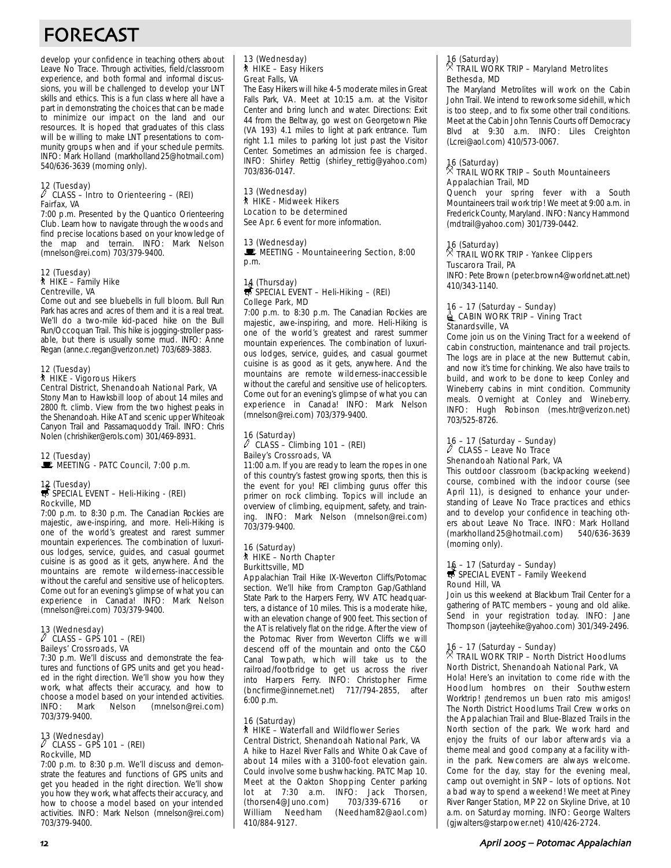# FORECAST

develop your confidence in teaching others about Leave No Trace. Through activities, field/classroom experience, and both formal and informal discussions, you will be challenged to develop your LNT skills and ethics. This is a fun class where all have a part in demonstrating the choices that can be made to minimize our impact on the land and our resources. It is hoped that graduates of this class will be willing to make LNT presentations to community groups when and if your schedule permits. INFO: Mark Holland (markholland25@hotmail.com) 540/636-3639 (morning only).

#### 12 (Tuesday) a CLASS – Intro to Orienteering – (REI) Fairfax, VA

7:00 p.m. Presented by the Quantico Orienteering Club. Learn how to navigate through the woods and find precise locations based on your knowledge of the map and terrain. INFO: Mark Nelson (mnelson@rei.com) 703/379-9400.

#### 12 (Tuesday) ` HIKE – Family Hike Centreville, VA

Come out and see bluebells in full bloom. Bull Run Park has acres and acres of them and it is a real treat. We'll do a two-mile kid-paced hike on the Bull Run/Occoquan Trail. This hike is jogging-stroller passable, but there is usually some mud. INFO: Anne Regan (anne.c.regan@verizon.net) 703/689-3883.

#### 12 (Tuesday) ` HIKE - Vigorous Hikers

Central District, Shenandoah National Park, VA Stony Man to Hawksbill loop of about 14 miles and 2800 ft. climb. View from the two highest peaks in the Shenandoah. Hike AT and scenic upper Whiteoak Canyon Trail and Passamaquoddy Trail. INFO: Chris Nolen (chrishiker@erols.com) 301/469-8931.

#### 12 (Tuesday) MEETING - PATC Council, 7:00 p.m.

### 12 (Tuesday)<br>
SPECIAL EVENT – Heli-Hiking - (REI) Rockville, MD

7:00 p.m. to 8:30 p.m. The Canadian Rockies are majestic, awe-inspiring, and more. Heli-Hiking is one of the world's greatest and rarest summer mountain experiences. The combination of luxurious lodges, service, guides, and casual gourmet cuisine is as good as it gets, anywhere. And the mountains are remote wilderness-inaccessible without the careful and sensitive use of helicopters. Come out for an evening's glimpse of what you can experience in Canada! INFO: Mark Nelson (mnelson@rei.com) 703/379-9400.

### 13 (Wednesday) a CLASS – GPS 101 – (REI) Baileys' Crossroads, VA

7:30 p.m. We'll discuss and demonstrate the features and functions of GPS units and get you headed in the right direction. We'll show you how they work, what affects their accuracy, and how to choose a model based on your intended activities.<br>INFO: Mark Nelson (mnelson@rei.com) INFO: Mark Nelson (mnelson@rei.com) 703/379-9400.

### 13 (Wednesday) a CLASS – GPS 101 – (REI) Rockville, MD

7:00 p.m. to 8:30 p.m. We'll discuss and demonstrate the features and functions of GPS units and get you headed in the right direction. We'll show you how they work, what affects their accuracy, and how to choose a model based on your intended activities. INFO: Mark Nelson (mnelson@rei.com) 703/379-9400.

#### 13 (Wednesday) ` HIKE – Easy Hikers Great Falls, VA

The Easy Hikers will hike 4-5 moderate miles in Great Falls Park, VA. Meet at 10:15 a.m. at the Visitor Center and bring lunch and water. Directions: Exit 44 from the Beltway, go west on Georgetown Pike (VA 193) 4.1 miles to light at park entrance. Turn right 1.1 miles to parking lot just past the Visitor Center. Sometimes an admission fee is charged. INFO: Shirley Rettig (shirley\_rettig@yahoo.com) 703/836-0147.

#### 13 (Wednesday) ` HIKE - Midweek Hikers Location to be determined

See Apr. 6 event for more information.

#### 13 (Wednesday)

MEETING - Mountaineering Section, 8:00 p.m.

### 14 (Thursday)<br>
SPECIAL EVENT – Heli-Hiking – (REI) College Park, MD

7:00 p.m. to 8:30 p.m. The Canadian Rockies are majestic, awe-inspiring, and more. Heli-Hiking is one of the world's greatest and rarest summer mountain experiences. The combination of luxurious lodges, service, guides, and casual gourmet cuisine is as good as it gets, anywhere. And the mountains are remote wilderness-inaccessible without the careful and sensitive use of helicopters. Come out for an evening's glimpse of what you can experience in Canada! INFO: Mark Nelson (mnelson@rei.com) 703/379-9400.

### 16 (Saturday) a CLASS – Climbing 101 – (REI) Bailey's Crossroads, VA

11:00 a.m. If you are ready to learn the ropes in one of this country's fastest growing sports, then this is the event for you! REI climbing gurus offer this primer on rock climbing. Topics will include an overview of climbing, equipment, safety, and training. INFO: Mark Nelson (mnelson@rei.com) 703/379-9400.

#### 16 (Saturday) ` HIKE – North Chapter Burkittsville, MD

Appalachian Trail Hike IX-Weverton Cliffs/Potomac section. We'll hike from Crampton Gap/Gathland State Park to the Harpers Ferry, WV ATC headquarters, a distance of 10 miles. This is a moderate hike, with an elevation change of 900 feet. This section of the AT is relatively flat on the ridge. After the view of the Potomac River from Weverton Cliffs we will descend off of the mountain and onto the C&O Canal Towpath, which will take us to the railroad/footbridge to get us across the river into Harpers Ferry. INFO: Christopher Firme (bncfirme@innernet.net) 717/794-2855, after 6:00 p.m.

#### 16 (Saturday) ` HIKE – Waterfall and Wildflower Series Central District, Shenandoah National Park, VA

A hike to Hazel River Falls and White Oak Cave of about 14 miles with a 3100-foot elevation gain. Could involve some bushwhacking. PATC Map 10. Meet at the Oakton Shopping Center parking lot at 7:30 a.m. INFO: Jack Thorsen, (thorsen4@Juno.com) 703/339-6716 or William Needham (Needham82@aol.com) 410/884-9127.

### 16 (Saturday) . TRAIL WORK TRIP – Maryland Metrolites Bethesda, MD

The Maryland Metrolites will work on the Cabin John Trail. We intend to rework some sidehill, which is too steep, and to fix some other trail conditions. Meet at the Cabin John Tennis Courts off Democracy Blvd at 9:30 a.m. INFO: Liles Creighton (Lcrei@aol.com) 410/573-0067.

### 16 (Saturday) . TRAIL WORK TRIP – South Mountaineers Appalachian Trail, MD

Quench your spring fever with a South Mountaineers trail work trip! We meet at 9:00 a.m. in Frederick County, Maryland. INFO: Nancy Hammond (mdtrail@yahoo.com) 301/739-0442.

## 16 (Saturday)

#### . TRAIL WORK TRIP - Yankee Clippers Tuscarora Trail, PA

INFO: Pete Brown (peter.brown4@worldnet.att.net) 410/343-1140.

#### 16 – 17 (Saturday – Sunday)  $\triangleq$  CABIN WORK TRIP – Vining Tract Stanardsville, VA

Come join us on the Vining Tract for a weekend of cabin construction, maintenance and trail projects. The logs are in place at the new Butternut cabin, and now it's time for chinking. We also have trails to build, and work to be done to keep Conley and Wineberry cabins in mint condition. Community meals. Overnight at Conley and Wineberry. INFO: Hugh Robinson (mes.htr@verizon.net) 703/525-8726.

#### 16 – 17 (Saturday – Sunday)  $\mathbb O$  CLASS – Leave No Trace Shenandoah National Park, VA

This outdoor classroom (backpacking weekend) course, combined with the indoor course (see April 11), is designed to enhance your understanding of Leave No Trace practices and ethics and to develop your confidence in teaching others about Leave No Trace. INFO: Mark Holland (markholland25@hotmail.com) 540/636-3639 (morning only).

### 16 – 17 (Saturday – Sunday)<br>₩ SPECIAL EVENT – Family Weekend Round Hill, VA

Join us this weekend at Blackburn Trail Center for a gathering of PATC members – young and old alike. Send in your registration today. INFO: Jane Thompson (jayteehike@yahoo.com) 301/349-2496.

### 16 – 17 (Saturday – Sunday) . TRAIL WORK TRIP – North District Hoodlums North District, Shenandoah National Park, VA

Hola! Here's an invitation to come ride with the Hoodlum hombres on their Southwestern Worktrip! ¡tendremos un buen rato mis amigos! The North District Hoodlums Trail Crew works on the Appalachian Trail and Blue-Blazed Trails in the North section of the park. We work hard and enjoy the fruits of our labor afterwards via a theme meal and good company at a facility within the park. Newcomers are always welcome. Come for the day, stay for the evening meal, camp out overnight in SNP – lots of options. Not a bad way to spend a weekend! We meet at Piney River Ranger Station, MP 22 on Skyline Drive, at 10 a.m. on Saturday morning. INFO: George Walters (gjwalters@starpower.net) 410/426-2724.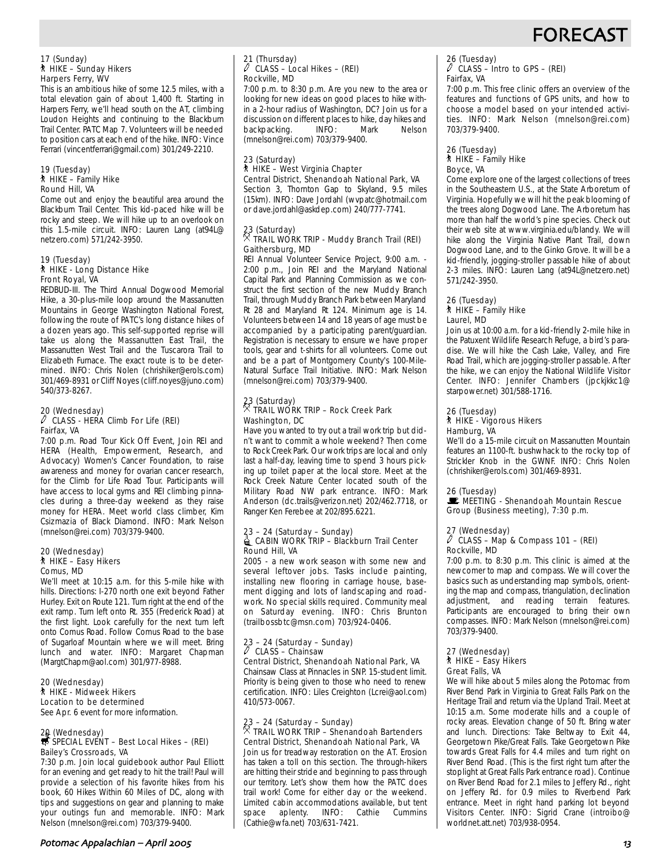

### 17 (Sunday) ` HIKE – Sunday Hikers Harpers Ferry, WV

This is an ambitious hike of some 12.5 miles, with a total elevation gain of about 1,400 ft. Starting in Harpers Ferry, we'll head south on the AT, climbing Loudon Heights and continuing to the Blackburn Trail Center. PATC Map 7. Volunteers will be needed to position cars at each end of the hike. INFO: Vince Ferrari (vincentferrari@gmail.com) 301/249-2210.

#### 19 (Tuesday)  $*$  HIKE – Family Hike Round Hill, VA

Come out and enjoy the beautiful area around the Blackburn Trail Center. This kid-paced hike will be rocky and steep. We will hike up to an overlook on this 1.5-mile circuit. INFO: Lauren Lang (at94L@ netzero.com) 571/242-3950.

#### 19 (Tuesday) ` HIKE - Long Distance Hike Front Royal, VA

REDBUD-III. The Third Annual Dogwood Memorial Hike, a 30-plus-mile loop around the Massanutten Mountains in George Washington National Forest, following the route of PATC's long distance hikes of a dozen years ago. This self-supported reprise will take us along the Massanutten East Trail, the Massanutten West Trail and the Tuscarora Trail to Elizabeth Furnace. The exact route is to be determined. INFO: Chris Nolen (chrishiker@erols.com) 301/469-8931 or Cliff Noyes (cliff.noyes@juno.com) 540/373-8267.

### 20 (Wednesday) a CLASS - HERA Climb For Life (REI) Fairfax, VA

7:00 p.m. Road Tour Kick Off Event, Join REI and HERA (Health, Empowerment, Research, and Advocacy) Women's Cancer Foundation, to raise awareness and money for ovarian cancer research, for the Climb for Life Road Tour. Participants will have access to local gyms and REI climbing pinnacles during a three-day weekend as they raise money for HERA. Meet world class climber, Kim Csizmazia of Black Diamond. INFO: Mark Nelson (mnelson@rei.com) 703/379-9400.

#### 20 (Wednesday) ` HIKE – Easy Hikers Comus, MD

We'll meet at 10:15 a.m. for this 5-mile hike with hills. Directions: I-270 north one exit beyond Father Hurley. Exit on Route 121. Turn right at the end of the exit ramp. Turn left onto Rt. 355 (Frederick Road) at the first light. Look carefully for the next turn left onto Comus Road. Follow Comus Road to the base of Sugarloaf Mountain where we will meet. Bring lunch and water. INFO: Margaret Chapman (MargtChapm@aol.com) 301/977-8988.

#### 20 (Wednesday) ` HIKE - Midweek Hikers Location to be determined

See Apr. 6 event for more information.

### 20 (Wednesday)<br> **SPECIAL EVENT – Best Local Hikes – (REI)** Bailey's Crossroads, VA

7:30 p.m. Join local guidebook author Paul Elliott for an evening and get ready to hit the trail! Paul will provide a selection of his favorite hikes from his book, 60 Hikes Within 60 Miles of DC, along with tips and suggestions on gear and planning to make your outings fun and memorable. INFO: Mark Nelson (mnelson@rei.com) 703/379-9400.

#### 21 (Thursday) a CLASS – Local Hikes – (REI) Rockville, MD

7:00 p.m. to 8:30 p.m. Are you new to the area or looking for new ideas on good places to hike within a 2-hour radius of Washington, DC? Join us for a discussion on different places to hike, day hikes and<br>backpacking. [INFO: Mark Nelson] backpacking. INFO: Mark Nelson (mnelson@rei.com) 703/379-9400.

#### 23 (Saturday) ` HIKE – West Virginia Chapter Central District, Shenandoah National Park, VA

Section 3, Thornton Gap to Skyland, 9.5 miles (15km). INFO: Dave Jordahl (wvpatc@hotmail.com or dave.jordahl@askdep.com) 240/777-7741.

### 23 (Saturday) . TRAIL WORK TRIP - Muddy Branch Trail (REI) Gaithersburg, MD

REI Annual Volunteer Service Project, 9:00 a.m. - 2:00 p.m., Join REI and the Maryland National Capital Park and Planning Commission as we construct the first section of the new Muddy Branch Trail, through Muddy Branch Park between Maryland Rt 28 and Maryland Rt 124. Minimum age is 14. Volunteers between 14 and 18 years of age must be accompanied by a participating parent/guardian. Registration is necessary to ensure we have proper tools, gear and t-shirts for all volunteers. Come out and be a part of Montgomery County's 100-Mile-Natural Surface Trail Initiative. INFO: Mark Nelson (mnelson@rei.com) 703/379-9400.

### 23 (Saturday) . TRAIL WORK TRIP – Rock Creek Park Washington, DC

Have you wanted to try out a trail work trip but didn't want to commit a whole weekend? Then come to Rock Creek Park. Our work trips are local and only last a half-day, leaving time to spend 3 hours picking up toilet paper at the local store. Meet at the Rock Creek Nature Center located south of the Military Road NW park entrance. INFO: Mark Anderson (dc.trails@verizon.net) 202/462.7718, or Ranger Ken Ferebee at 202/895.6221.

#### 23 – 24 (Saturday – Sunday) **@ CABIN WORK TRIP – Blackburn Trail Center** Round Hill, VA

2005 - a new work season with some new and several leftover jobs. Tasks include painting, installing new flooring in carriage house, basement digging and lots of landscaping and roadwork. No special skills required. Community meal on Saturday evening. INFO: Chris Brunton (trailbossbtc@msn.com) 703/924-0406.

#### 23 – 24 (Saturday – Sunday)  $\ell$  CLASS – Chainsaw

Central District, Shenandoah National Park, VA Chainsaw Class at Pinnacles in SNP. 15-student limit. Priority is being given to those who need to renew certification. INFO: Liles Creighton (Lcrei@aol.com) 410/573-0067.

### 23 – 24 (Saturday – Sunday) . TRAIL WORK TRIP – Shenandoah Bartenders Central District, Shenandoah National Park, VA

Join us for treadway restoration on the AT. Erosion has taken a toll on this section. The through-hikers are hitting their stride and beginning to pass through our territory. Let's show them how the PATC does trail work! Come for either day or the weekend. Limited cabin accommodations available, but tent<br>space aplenty. INFO: Cathie Cummins space aplenty. (Cathie@wfa.net) 703/631-7421.

### 26 (Tuesday) a CLASS – Intro to GPS – (REI) Fairfax, VA

7:00 p.m. This free clinic offers an overview of the features and functions of GPS units, and how to choose a model based on your intended activities. INFO: Mark Nelson (mnelson@rei.com) 703/379-9400.

#### 26 (Tuesday)  $*$  HIKE – Family Hike Boyce, VA

Come explore one of the largest collections of trees in the Southeastern U.S., at the State Arboretum of Virginia. Hopefully we will hit the peak blooming of the trees along Dogwood Lane. The Arboretum has more than half the world's pine species. Check out their web site at www.virginia.edu/blandy. We will hike along the Virginia Native Plant Trail, down Dogwood Lane, and to the Ginko Grove. It will be a kid-friendly, jogging-stroller passable hike of about 2-3 miles. INFO: Lauren Lang (at94L@netzero.net) 571/242-3950.

#### 26 (Tuesday)  $*$  HIKE – Family Hike Laurel, MD

Join us at 10:00 a.m. for a kid-friendly 2-mile hike in the Patuxent Wildlife Research Refuge, a bird's paradise. We will hike the Cash Lake, Valley, and Fire Road Trail, which are jogging-stroller passable. After the hike, we can enjoy the National Wildlife Visitor Center. INFO: Jennifer Chambers (jpckjkkc1@ starpower.net) 301/588-1716.

#### 26 (Tuesday) ` HIKE - Vigorous Hikers Hamburg, VA

We'll do a 15-mile circuit on Massanutten Mountain features an 1100-ft. bushwhack to the rocky top of Strickler Knob in the GWNF. INFO: Chris Nolen (chrishiker@erols.com) 301/469-8931.

#### 26 (Tuesday)

 $\mathbf{E}$  MEETING - Shenandoah Mountain Rescue Group (Business meeting), 7:30 p.m.

#### 27 (Wednesday) a CLASS – Map & Compass 101 – (REI) Rockville, MD

7:00 p.m. to 8:30 p.m. This clinic is aimed at the newcomer to map and compass. We will cover the basics such as understanding map symbols, orienting the map and compass, triangulation, declination adjustment, and reading terrain features. Participants are encouraged to bring their own compasses. INFO: Mark Nelson (mnelson@rei.com) 703/379-9400.

#### 27 (Wednesday) ` HIKE – Easy Hikers Great Falls, VA

We will hike about 5 miles along the Potomac from River Bend Park in Virginia to Great Falls Park on the Heritage Trail and return via the Upland Trail. Meet at 10:15 a.m. Some moderate hills and a couple of rocky areas. Elevation change of 50 ft. Bring water and lunch. Directions: Take Beltway to Exit 44, Georgetown Pike/Great Falls. Take Georgetown Pike towards Great Falls for 4.4 miles and turn right on River Bend Road. (This is the first right turn after the stoplight at Great Falls Park entrance road). Continue on River Bend Road for 2.1 miles to Jeffery Rd., right on Jeffery Rd. for 0.9 miles to Riverbend Park entrance. Meet in right hand parking lot beyond Visitors Center. INFO: Sigrid Crane (introibo@ worldnet.att.net) 703/938-0954.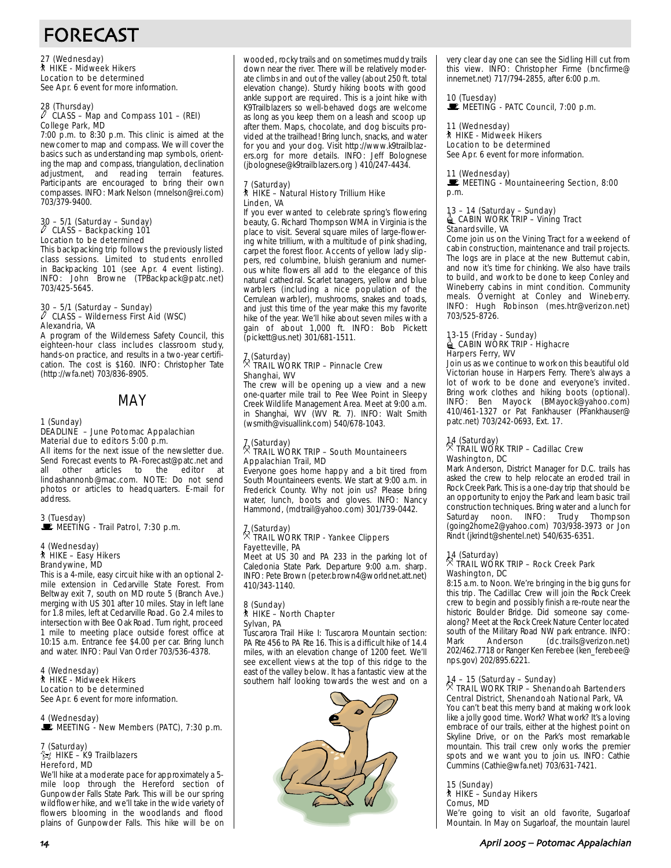# FORECAST

27 (Wednesday) ` HIKE - Midweek Hikers Location to be determined See Apr. 6 event for more information.

### 28 (Thursday) a CLASS – Map and Compass 101 – (REI) College Park, MD

7:00 p.m. to 8:30 p.m. This clinic is aimed at the newcomer to map and compass. We will cover the basics such as understanding map symbols, orienting the map and compass, triangulation, declination adjustment, and reading terrain features. Participants are encouraged to bring their own compasses. INFO: Mark Nelson (mnelson@rei.com) 703/379-9400.

### 30 – 5/1 (Saturday – Sunday) a CLASS – Backpacking 101 Location to be determined

This backpacking trip follows the previously listed class sessions. Limited to students enrolled in Backpacking 101 (see Apr. 4 event listing). INFO: John Browne (TPBackpack@patc.net) 703/425-5645.

### 30 – 5/1 (Saturday – Sunday) a CLASS – Wilderness First Aid (WSC) Alexandria, VA

A program of the Wilderness Safety Council, this eighteen-hour class includes classroom study, hands-on practice, and results in a two-year certification. The cost is \$160. INFO: Christopher Tate (http://wfa.net) 703/836-8905.

MAY

#### 1 (Sunday) DEADLINE – June Potomac Appalachian Material due to editors 5:00 p.m.

All items for the next issue of the newsletter due. Send Forecast events to PA-Forecast@patc.net and<br>all other articles to the editor at articles to the editor at lindashannonb@mac.com. NOTE: Do not send photos or articles to headquarters. E-mail for address.

#### 3 (Tuesday) MEETING - Trail Patrol, 7:30 p.m.

### 4 (Wednesday) ` HIKE – Easy Hikers Brandywine, MD

This is a 4-mile, easy circuit hike with an optional 2 mile extension in Cedarville State Forest. From Beltway exit 7, south on MD route 5 (Branch Ave.) merging with US 301 after 10 miles. Stay in left lane for 1.8 miles, left at Cedarville Road. Go 2.4 miles to intersection with Bee Oak Road. Turn right, proceed 1 mile to meeting place outside forest office at 10:15 a.m. Entrance fee \$4.00 per car. Bring lunch and water. INFO: Paul Van Order 703/536-4378.

4 (Wednesday) ` HIKE - Midweek Hikers Location to be determined See Apr. 6 event for more information.

4 (Wednesday) MEETING - New Members (PATC), 7:30 p.m.

#### 7 (Saturday)  $\hat{\mathbb{X}}$  HIKE – K9 Trailblazers Hereford, MD

We'll hike at a moderate pace for approximately a 5 mile loop through the Hereford section of Gunpowder Falls State Park. This will be our spring wildflower hike, and we'll take in the wide variety of flowers blooming in the woodlands and flood plains of Gunpowder Falls. This hike will be on wooded, rocky trails and on sometimes muddy trails down near the river. There will be relatively moderate climbs in and out of the valley (about 250 ft. total elevation change). Sturdy hiking boots with good ankle support are required. This is a joint hike with K9Trailblazers so well-behaved dogs are welcome as long as you keep them on a leash and scoop up after them. Maps, chocolate, and dog biscuits provided at the trailhead! Bring lunch, snacks, and water for you and your dog. Visit http://www.k9trailblazers.org for more details. INFO: Jeff Bolognese (jbolognese@k9trailblazers.org ) 410/247-4434.

#### (Saturday) ` HIKE – Natural History Trillium Hike Linden, VA

If you ever wanted to celebrate spring's flowering beauty, G. Richard Thompson WMA in Virginia is the place to visit. Several square miles of large-flowering white trillium, with a multitude of pink shading, carpet the forest floor. Accents of yellow lady slippers, red columbine, bluish geranium and numerous white flowers all add to the elegance of this natural cathedral. Scarlet tanagers, yellow and blue warblers (including a nice population of the Cerrulean warbler), mushrooms, snakes and toads, and just this time of the year make this my favorite hike of the year. We'll hike about seven miles with a gain of about 1,000 ft. INFO: Bob Pickett (pickett@us.net) 301/681-1511.

#### 7 (Saturday) . TRAIL WORK TRIP – Pinnacle Crew Shanghai, WV

The crew will be opening up a view and a new one-quarter mile trail to Pee Wee Point in Sleepy Creek Wildlife Management Area. Meet at 9:00 a.m. in Shanghai, WV (WV Rt. 7). INFO: Walt Smith (wsmith@visuallink.com) 540/678-1043.

### 7 (Saturday) . TRAIL WORK TRIP – South Mountaineers Appalachian Trail, MD

Everyone goes home happy and a bit tired from South Mountaineers events. We start at 9:00 a.m. in Frederick County. Why not join us? Please bring water, lunch, boots and gloves. INFO: Nancy Hammond, (mdtrail@yahoo.com) 301/739-0442.

#### 7 (Saturday) . TRAIL WORK TRIP - Yankee Clippers Fayetteville, PA

Meet at US 30 and PA 233 in the parking lot of Caledonia State Park. Departure 9:00 a.m. sharp. INFO: Pete Brown (peter.brown4@worldnet.att.net) 410/343-1140.

#### 8 (Sunday) ` HIKE – North Chapter Sylvan, PA

Tuscarora Trail Hike I: Tuscarora Mountain section: PA Rte 456 to PA Rte 16. This is a difficult hike of 14.4 miles, with an elevation change of 1200 feet. We'll see excellent views at the top of this ridge to the east of the valley below. It has a fantastic view at the southern half looking towards the west and on a



very clear day one can see the Sidling Hill cut from this view. INFO: Christopher Firme (bncfirme@ innernet.net) 717/794-2855, after 6:00 p.m.

10 (Tuesday)  $\mathbb E$  MEETING - PATC Council, 7:00 p.m.

#### 11 (Wednesday) ` HIKE - Midweek Hikers Location to be determined

See Apr. 6 event for more information.

#### 11 (Wednesday)

MEETING - Mountaineering Section, 8:00 p.m.

### 13 – 14 (Saturday – Sunday)<br>▄ CABIN WORK TRIP – Vining Tract Stanardsville, VA

Come join us on the Vining Tract for a weekend of cabin construction, maintenance and trail projects. The logs are in place at the new Butternut cabin, and now it's time for chinking. We also have trails to build, and work to be done to keep Conley and Wineberry cabins in mint condition. Community meals. Overnight at Conley and Wineberry. INFO: Hugh Robinson (mes.htr@verizon.net) 703/525-8726.

### 13-15 (Friday - Sunday)<br>≜ CABIN WORK TRIP - Highacre Harpers Ferry, WV

Join us as we continue to work on this beautiful old Victorian house in Harpers Ferry. There's always a lot of work to be done and everyone's invited. Bring work clothes and hiking boots (optional). INFO: Ben Mayock (BMayock@yahoo.com) 410/461-1327 or Pat Fankhauser (PFankhauser@ patc.net) 703/242-0693, Ext. 17.

#### 14 (Saturday) . TRAIL WORK TRIP – Cadillac Crew Washington, DC

Mark Anderson, District Manager for D.C. trails has asked the crew to help relocate an eroded trail in Rock Creek Park. This is a one-day trip that should be an opportunity to enjoy the Park and learn basic trail construction techniques. Bring water and a lunch for Saturday noon. INFO: Trudy Thompson (going2home2@yahoo.com) 703/938-3973 or Jon Rindt (jkrindt@shentel.net) 540/635-6351.

### 14 (Saturday) . TRAIL WORK TRIP – Rock Creek Park Washington, DC

8:15 a.m. to Noon. We're bringing in the big guns for this trip. The Cadillac Crew will join the Rock Creek crew to begin and possibly finish a re-route near the historic Boulder Bridge. Did someone say comealong? Meet at the Rock Creek Nature Center located south of the Military Road NW park entrance. INFO: Mark Anderson (dc.trails@verizon.net) 202/462.7718 or Ranger Ken Ferebee (ken\_ferebee@ nps.gov) 202/895.6221.

### 14 – 15 (Saturday – Sunday) . TRAIL WORK TRIP – Shenandoah Bartenders Central District, Shenandoah National Park, VA

You can't beat this merry band at making work look like a jolly good time. Work? What work? It's a loving embrace of our trails, either at the highest point on Skyline Drive, or on the Park's most remarkable mountain. This trail crew only works the premier spots and we want you to join us. INFO: Cathie Cummins (Cathie@wfa.net) 703/631-7421.

15 (Sunday) ` HIKE – Sunday Hikers Comus, MD We're going to visit an old favorite, Sugarloaf Mountain. In May on Sugarloaf, the mountain laurel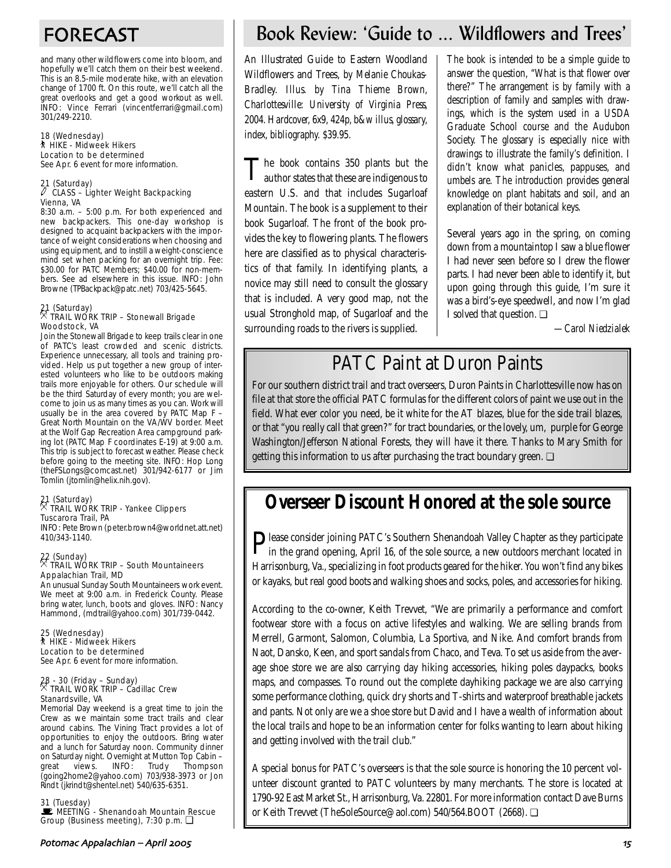and many other wildflowers come into bloom, and hopefully we'll catch them on their best weekend. This is an 8.5-mile moderate hike, with an elevation change of 1700 ft. On this route, we'll catch all the great overlooks and get a good workout as well. INFO: Vince Ferrari (vincentferrari@gmail.com) 301/249-2210.

#### 18 (Wednesday) ` HIKE - Midweek Hikers Location to be determined See Apr. 6 event for more information.

### 21 (Saturday) a CLASS – Lighter Weight Backpacking Vienna, VA

8:30 a.m. – 5:00 p.m. For both experienced and new backpackers. This one-day workshop is designed to acquaint backpackers with the importance of weight considerations when choosing and using equipment, and to instill a weight-conscience mind set when packing for an overnight trip. Fee: \$30.00 for PATC Members; \$40.00 for non-members. See ad elsewhere in this issue. INFO: John Browne (TPBackpack@patc.net) 703/425-5645.

### 21 (Saturday) . TRAIL WORK TRIP – Stonewall Brigade Woodstock, VA

Join the Stonewall Brigade to keep trails clear in one of PATC's least crowded and scenic districts. Experience unnecessary, all tools and training provided. Help us put together a new group of interested volunteers who like to be outdoors making trails more enjoyable for others. Our schedule will be the third Saturday of every month; you are welcome to join us as many times as you can. Work will usually be in the area covered by PATC Map F – Great North Mountain on the VA/WV border. Meet at the Wolf Gap Recreation Area campground parking lot (PATC Map F coordinates E-19) at 9:00 a.m. This trip is subject to forecast weather. Please check before going to the meeting site. INFO: Hop Long (theFSLongs@comcast.net) 301/942-6177 or Jim Tomlin (jtomlin@helix.nih.gov).

#### 21 (Saturday) . TRAIL WORK TRIP - Yankee Clippers Tuscarora Trail, PA

INFO: Pete Brown (peter.brown4@worldnet.att.net) 410/343-1140.

### 22 (Sunday) . TRAIL WORK TRIP – South Mountaineers Appalachian Trail, MD

An unusual Sunday South Mountaineers work event. We meet at 9:00 a.m. in Frederick County. Please bring water, lunch, boots and gloves. INFO: Nancy Hammond, (mdtrail@yahoo.com) 301/739-0442.

25 (Wednesday) ` HIKE - Midweek Hikers Location to be determined See Apr. 6 event for more information.

### 28 - 30 (Friday – Sunday) . TRAIL WORK TRIP – Cadillac Crew Stanardsville, VA

Memorial Day weekend is a great time to join the Crew as we maintain some tract trails and clear around cabins. The Vining Tract provides a lot of opportunities to enjoy the outdoors. Bring water and a lunch for Saturday noon. Community dinner on Saturday night. Overnight at Mutton Top Cabin –<br>great views. INFO: Trudy Thompson Thompson (going2home2@yahoo.com) 703/938-3973 or Jon Rindt (jkrindt@shentel.net) 540/635-6351.

#### 31 (Tuesday)

**De MEETING - Shenandoah Mountain Rescue** Group (Business meeting), 7:30 p.m. ❏

## FORECAST Book Review: 'Guide to ... Wildflowers and Trees'

An Illustrated Guide to Eastern Woodland Wildflowers and Trees, *by Melanie Choukas-Bradley. Illus. by Tina Thieme Brown, Charlottesville: University of Virginia Press, 2004. Hardcover, 6x9, 424p, b&w illus, glossary, index, bibliography. \$39.95.*

The book contains 350 plants but the author states that these are indigenous to eastern U.S. and that includes Sugarloaf Mountain. The book is a supplement to their book Sugarloaf. The front of the book provides the key to flowering plants. The flowers here are classified as to physical characteristics of that family. In identifying plants, a novice may still need to consult the glossary that is included. A very good map, not the usual Stronghold map, of Sugarloaf and the surrounding roads to the rivers is supplied.

The book is intended to be a simple guide to answer the question, "What is that flower over there?" The arrangement is by family with a description of family and samples with drawings, which is the system used in a USDA Graduate School course and the Audubon Society. The glossary is especially nice with drawings to illustrate the family's definition. I didn't know what panicles, pappuses, and umbels are. The introduction provides general knowledge on plant habitats and soil, and an explanation of their botanical keys.

Several years ago in the spring, on coming down from a mountaintop I saw a blue flower I had never seen before so I drew the flower parts. I had never been able to identify it, but upon going through this guide, I'm sure it was a bird's-eye speedwell, and now I'm glad I solved that question. ❏

*—Carol Niedzialek*

## PATC Paint at Duron Paints

For our southern district trail and tract overseers, Duron Paints in Charlottesville now has on file at that store the official PATC formulas for the different colors of paint we use out in the field. What ever color you need, be it white for the AT blazes, blue for the side trail blazes, or that "you really call that green?" for tract boundaries, or the lovely, um, purple for George Washington/Jefferson National Forests, they will have it there. Thanks to Mary Smith for getting this information to us after purchasing the tract boundary green. □

## **Overseer Discount Honored at the sole source**

Please consider joining PATC's Southern Shenandoah Valley Chapter as they participate<br>in the grand opening April 16, of the set in the grand opening, April 16, of the sole source, a new outdoors merchant located in Harrisonburg, Va., specializing in foot products geared for the hiker. You won't find any bikes or kayaks, but real good boots and walking shoes and socks, poles, and accessories for hiking.

According to the co-owner, Keith Trevvet, "We are primarily a performance and comfort footwear store with a focus on active lifestyles and walking. We are selling brands from Merrell, Garmont, Salomon, Columbia, La Sportiva, and Nike. And comfort brands from Naot, Dansko, Keen, and sport sandals from Chaco, and Teva. To set us aside from the average shoe store we are also carrying day hiking accessories, hiking poles daypacks, books maps, and compasses. To round out the complete dayhiking package we are also carrying some performance clothing, quick dry shorts and T-shirts and waterproof breathable jackets and pants. Not only are we a shoe store but David and I have a wealth of information about the local trails and hope to be an information center for folks wanting to learn about hiking and getting involved with the trail club."

A special bonus for PATC's overseers is that the sole source is honoring the 10 percent volunteer discount granted to PATC volunteers by many merchants. The store is located at 1790-92 East Market St., Harrisonburg, Va. 22801. For more information contact Dave Burns or Keith Trevvet (TheSoleSource@aol.com) 540/564.BOOT (2668). ❏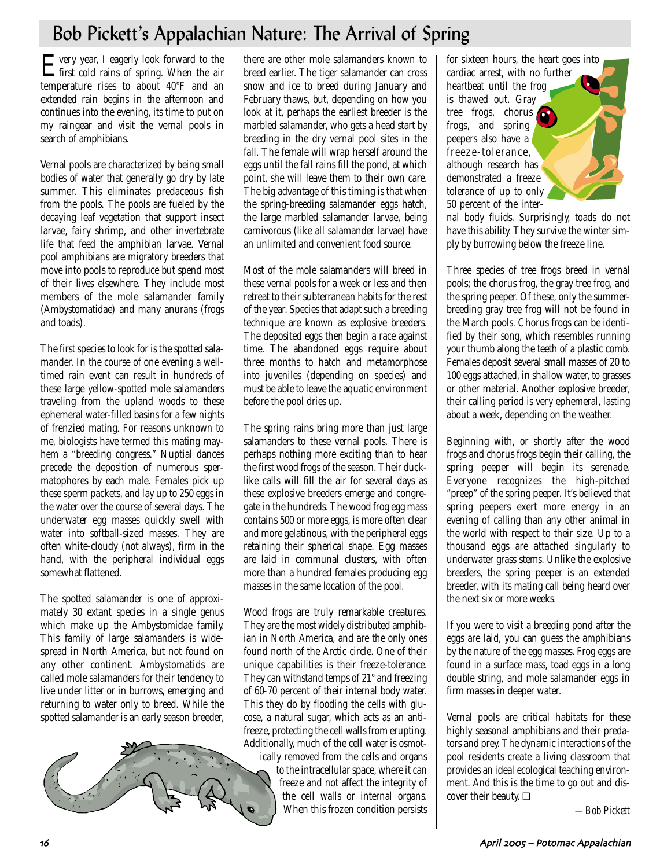# Bob Pickett's Appalachian Nature: The Arrival of Spring

Every year, I eagerly look forward to the first cold rains of spring. When the air temperature rises to about 40°F and an extended rain begins in the afternoon and continues into the evening, its time to put on my raingear and visit the vernal pools in search of amphibians.

Vernal pools are characterized by being small bodies of water that generally go dry by late summer. This eliminates predaceous fish from the pools. The pools are fueled by the decaying leaf vegetation that support insect larvae, fairy shrimp, and other invertebrate life that feed the amphibian larvae. Vernal pool amphibians are migratory breeders that move into pools to reproduce but spend most of their lives elsewhere. They include most members of the mole salamander family (Ambystomatidae) and many anurans (frogs and toads).

The first species to look for is the spotted salamander. In the course of one evening a welltimed rain event can result in hundreds of these large yellow-spotted mole salamanders traveling from the upland woods to these ephemeral water-filled basins for a few nights of frenzied mating. For reasons unknown to me, biologists have termed this mating mayhem a "breeding congress." Nuptial dances precede the deposition of numerous spermatophores by each male. Females pick up these sperm packets, and lay up to 250 eggs in the water over the course of several days. The underwater egg masses quickly swell with water into softball-sized masses. They are often white-cloudy (not always), firm in the hand, with the peripheral individual eggs somewhat flattened.

The spotted salamander is one of approximately 30 extant species in a single genus which make up the Ambystomidae family. This family of large salamanders is widespread in North America, but not found on any other continent. Ambystomatids are called mole salamanders for their tendency to live under litter or in burrows, emerging and returning to water only to breed. While the spotted salamander is an early season breeder,



there are other mole salamanders known to breed earlier. The tiger salamander can cross snow and ice to breed during January and February thaws, but, depending on how you look at it, perhaps the earliest breeder is the marbled salamander, who gets a head start by breeding in the dry vernal pool sites in the fall. The female will wrap herself around the eggs until the fall rains fill the pond, at which point, she will leave them to their own care. The big advantage of this timing is that when the spring-breeding salamander eggs hatch, the large marbled salamander larvae, being carnivorous (like all salamander larvae) have an unlimited and convenient food source.

Most of the mole salamanders will breed in these vernal pools for a week or less and then retreat to their subterranean habits for the rest of the year. Species that adapt such a breeding technique are known as explosive breeders. The deposited eggs then begin a race against time. The abandoned eggs require about three months to hatch and metamorphose into juveniles (depending on species) and must be able to leave the aquatic environment before the pool dries up.

The spring rains bring more than just large salamanders to these vernal pools. There is perhaps nothing more exciting than to hear the first wood frogs of the season. Their ducklike calls will fill the air for several days as these explosive breeders emerge and congregate in the hundreds. The wood frog egg mass contains 500 or more eggs, is more often clear and more gelatinous, with the peripheral eggs retaining their spherical shape. Egg masses are laid in communal clusters, with often more than a hundred females producing egg masses in the same location of the pool.

Wood frogs are truly remarkable creatures. They are the most widely distributed amphibian in North America, and are the only ones found north of the Arctic circle. One of their unique capabilities is their freeze-tolerance. They can withstand temps of 21° and freezing of 60-70 percent of their internal body water. This they do by flooding the cells with glucose, a natural sugar, which acts as an antifreeze, protecting the cell walls from erupting. Additionally, much of the cell water is osmot-

ically removed from the cells and organs to the intracellular space, where it can freeze and not affect the integrity of the cell walls or internal organs. When this frozen condition persists

for sixteen hours, the heart goes into cardiac arrest, with no further heartbeat until the frog is thawed out. Gray tree frogs, chorus frogs, and spring peepers also have a freeze-tolerance, although research has demonstrated a freeze tolerance of up to only 50 percent of the inter-

nal body fluids. Surprisingly, toads do not have this ability. They survive the winter simply by burrowing below the freeze line.

Three species of tree frogs breed in vernal pools; the chorus frog, the gray tree frog, and the spring peeper. Of these, only the summerbreeding gray tree frog will not be found in the March pools. Chorus frogs can be identified by their song, which resembles running your thumb along the teeth of a plastic comb. Females deposit several small masses of 20 to 100 eggs attached, in shallow water, to grasses or other material. Another explosive breeder, their calling period is very ephemeral, lasting about a week, depending on the weather.

Beginning with, or shortly after the wood frogs and chorus frogs begin their calling, the spring peeper will begin its serenade. Everyone recognizes the high-pitched "preep" of the spring peeper. It's believed that spring peepers exert more energy in an evening of calling than any other animal in the world with respect to their size. Up to a thousand eggs are attached singularly to underwater grass stems. Unlike the explosive breeders, the spring peeper is an extended breeder, with its mating call being heard over the next six or more weeks.

If you were to visit a breeding pond after the eggs are laid, you can guess the amphibians by the nature of the egg masses. Frog eggs are found in a surface mass, toad eggs in a long double string, and mole salamander eggs in firm masses in deeper water.

Vernal pools are critical habitats for these highly seasonal amphibians and their predators and prey. The dynamic interactions of the pool residents create a living classroom that provides an ideal ecological teaching environment. And this is the time to go out and discover their beauty. ❏

*—Bob Pickett*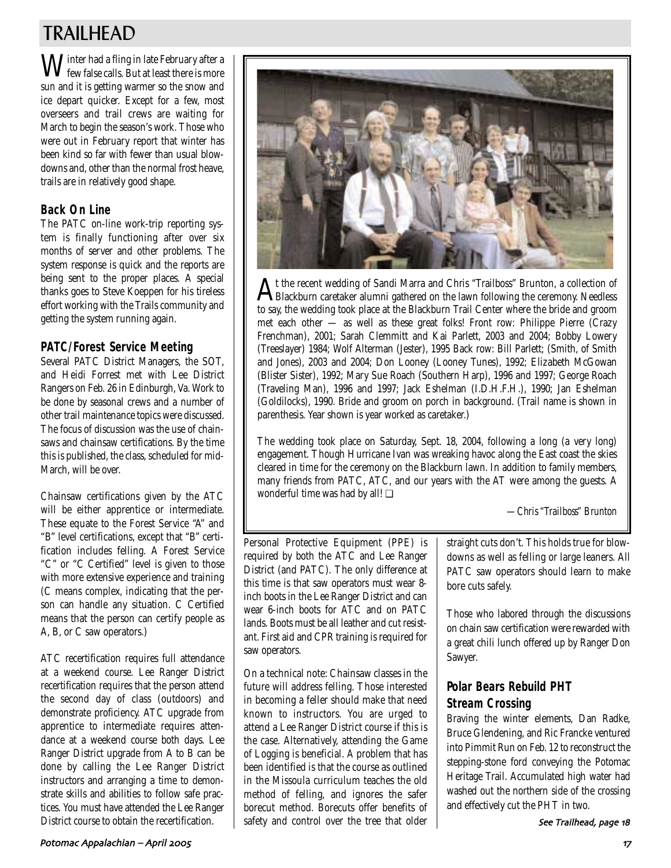## TRAILHEAD

 $\mathbf{W}$ inter had a fling in late February after a **V** few false calls. But at least there is more sun and it is getting warmer so the snow and ice depart quicker. Except for a few, most overseers and trail crews are waiting for March to begin the season's work. Those who were out in February report that winter has been kind so far with fewer than usual blowdowns and, other than the normal frost heave, trails are in relatively good shape.

### **Back On Line**

The PATC on-line work-trip reporting system is finally functioning after over six months of server and other problems. The system response is quick and the reports are being sent to the proper places. A special thanks goes to Steve Koeppen for his tireless effort working with the Trails community and getting the system running again.

### **PATC/Forest Service Meeting**

Several PATC District Managers, the SOT, and Heidi Forrest met with Lee District Rangers on Feb. 26 in Edinburgh, Va. Work to be done by seasonal crews and a number of other trail maintenance topics were discussed. The focus of discussion was the use of chainsaws and chainsaw certifications. By the time this is published, the class, scheduled for mid-March, will be over.

Chainsaw certifications given by the ATC will be either apprentice or intermediate. These equate to the Forest Service "A" and "B" level certifications, except that "B" certification includes felling. A Forest Service "C" or "C Certified" level is given to those with more extensive experience and training (C means complex, indicating that the person can handle any situation. C Certified means that the person can certify people as A, B, or C saw operators.)

ATC recertification requires full attendance at a weekend course. Lee Ranger District recertification requires that the person attend the second day of class (outdoors) and demonstrate proficiency. ATC upgrade from apprentice to intermediate requires attendance at a weekend course both days. Lee Ranger District upgrade from A to B can be done by calling the Lee Ranger District instructors and arranging a time to demonstrate skills and abilities to follow safe practices. You must have attended the Lee Ranger District course to obtain the recertification.



At the recent wedding of Sandi Marra and Chris "Trailboss" Brunton, a collection of Blackburn caretaker alumni gathered on the lawn following the ceremony. Needless to say, the wedding took place at the Blackburn Trail Center where the bride and groom met each other — as well as these great folks! Front row: Philippe Pierre (Crazy Frenchman), 2001; Sarah Clemmitt and Kai Parlett, 2003 and 2004; Bobby Lowery (Treeslayer) 1984; Wolf Alterman (Jester), 1995 Back row: Bill Parlett; (Smith, of Smith and Jones), 2003 and 2004; Don Looney (Looney Tunes), 1992; Elizabeth McGowan (Blister Sister), 1992; Mary Sue Roach (Southern Harp), 1996 and 1997; George Roach (Traveling Man), 1996 and 1997; Jack Eshelman (I.D.H.F.H.), 1990; Jan Eshelman (Goldilocks), 1990. Bride and groom on porch in background. (Trail name is shown in parenthesis. Year shown is year worked as caretaker.)

The wedding took place on Saturday, Sept. 18, 2004, following a long (a very long) engagement. Though Hurricane Ivan was wreaking havoc along the East coast the skies cleared in time for the ceremony on the Blackburn lawn. In addition to family members, many friends from PATC, ATC, and our years with the AT were among the guests. A wonderful time was had by all! ❏

*—Chris "Trailboss" Brunton*

Personal Protective Equipment (PPE) is required by both the ATC and Lee Ranger District (and PATC). The only difference at this time is that saw operators must wear 8 inch boots in the Lee Ranger District and can wear 6-inch boots for ATC and on PATC lands. Boots must be all leather and cut resistant. First aid and CPR training is required for saw operators.

On a technical note: Chainsaw classes in the future will address felling. Those interested in becoming a feller should make that need known to instructors. You are urged to attend a Lee Ranger District course if this is the case. Alternatively, attending the Game of Logging is beneficial. A problem that has been identified is that the course as outlined in the Missoula curriculum teaches the old method of felling, and ignores the safer borecut method. Borecuts offer benefits of safety and control over the tree that older straight cuts don't. This holds true for blowdowns as well as felling or large leaners. All PATC saw operators should learn to make bore cuts safely.

Those who labored through the discussions on chain saw certification were rewarded with a great chili lunch offered up by Ranger Don Sawyer.

### **Polar Bears Rebuild PHT Stream Crossing**

Braving the winter elements, Dan Radke, Bruce Glendening, and Ric Francke ventured into Pimmit Run on Feb. 12 to reconstruct the stepping-stone ford conveying the Potomac Heritage Trail. Accumulated high water had washed out the northern side of the crossing and effectively cut the PHT in two.

See Trailhead, page 18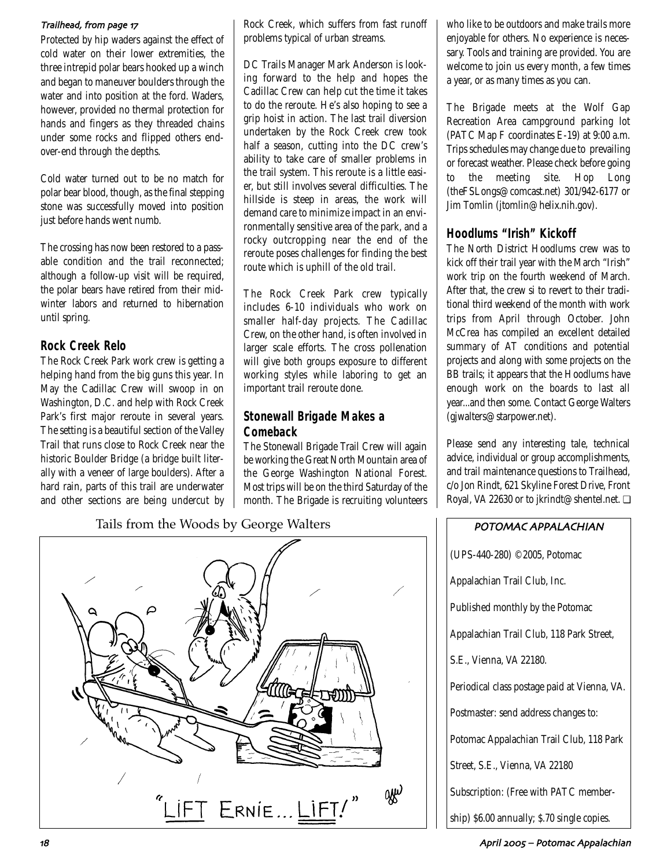#### Trailhead, from page 17

Protected by hip waders against the effect of cold water on their lower extremities, the three intrepid polar bears hooked up a winch and began to maneuver boulders through the water and into position at the ford. Waders, however, provided no thermal protection for hands and fingers as they threaded chains under some rocks and flipped others endover-end through the depths.

Cold water turned out to be no match for polar bear blood, though, as the final stepping stone was successfully moved into position just before hands went numb.

The crossing has now been restored to a passable condition and the trail reconnected; although a follow-up visit will be required, the polar bears have retired from their midwinter labors and returned to hibernation until spring.

### **Rock Creek Relo**

The Rock Creek Park work crew is getting a helping hand from the big guns this year. In May the Cadillac Crew will swoop in on Washington, D.C. and help with Rock Creek Park's first major reroute in several years. The setting is a beautiful section of the Valley Trail that runs close to Rock Creek near the historic Boulder Bridge (a bridge built literally with a veneer of large boulders). After a hard rain, parts of this trail are underwater and other sections are being undercut by Rock Creek, which suffers from fast runoff problems typical of urban streams.

DC Trails Manager Mark Anderson is looking forward to the help and hopes the Cadillac Crew can help cut the time it takes to do the reroute. He's also hoping to see a grip hoist in action. The last trail diversion undertaken by the Rock Creek crew took half a season, cutting into the DC crew's ability to take care of smaller problems in the trail system. This reroute is a little easier, but still involves several difficulties. The hillside is steep in areas, the work will demand care to minimize impact in an environmentally sensitive area of the park, and a rocky outcropping near the end of the reroute poses challenges for finding the best route which is uphill of the old trail.

The Rock Creek Park crew typically includes 6-10 individuals who work on smaller half-day projects. The Cadillac Crew, on the other hand, is often involved in larger scale efforts. The cross pollenation will give both groups exposure to different working styles while laboring to get an important trail reroute done.

### **Stonewall Brigade Makes a Comeback**

The Stonewall Brigade Trail Crew will again be working the Great North Mountain area of the George Washington National Forest. Most trips will be on the third Saturday of the month. The Brigade is recruiting volunteers who like to be outdoors and make trails more enjoyable for others. No experience is necessary. Tools and training are provided. You are welcome to join us every month, a few times a year, or as many times as you can.

The Brigade meets at the Wolf Gap Recreation Area campground parking lot (PATC Map F coordinates E-19) at 9:00 a.m. Trips schedules may change due to prevailing or forecast weather. Please check before going to the meeting site. Hop Long (theFSLongs@comcast.net) 301/942-6177 or Jim Tomlin (jtomlin@helix.nih.gov).

### **Hoodlums "Irish" Kickoff**

The North District Hoodlums crew was to kick off their trail year with the March "Irish" work trip on the fourth weekend of March. After that, the crew si to revert to their traditional third weekend of the month with work trips from April through October. John McCrea has compiled an excellent detailed summary of AT conditions and potential projects and along with some projects on the BB trails; it appears that the Hoodlums have enough work on the boards to last all year...and then some. Contact George Walters (gjwalters@starpower.net).

Please send any interesting tale, technical advice, individual or group accomplishments, and trail maintenance questions to Trailhead, c/o Jon Rindt, 621 Skyline Forest Drive, Front Royal, VA 22630 or to jkrindt@shentel.net. ❏

Tails from the Woods by George Walters **POTOMAC APPALACHIAN** 



(UPS-440-280) ©2005, Potomac Appalachian Trail Club, Inc. Published monthly by the Potomac Appalachian Trail Club, 118 Park Street, S.E., Vienna, VA 22180. Periodical class postage paid at Vienna, VA. Postmaster: send address changes to: Potomac Appalachian Trail Club, 118 Park Street, S.E., Vienna, VA 22180 Subscription: (Free with PATC membership) \$6.00 annually; \$.70 single copies.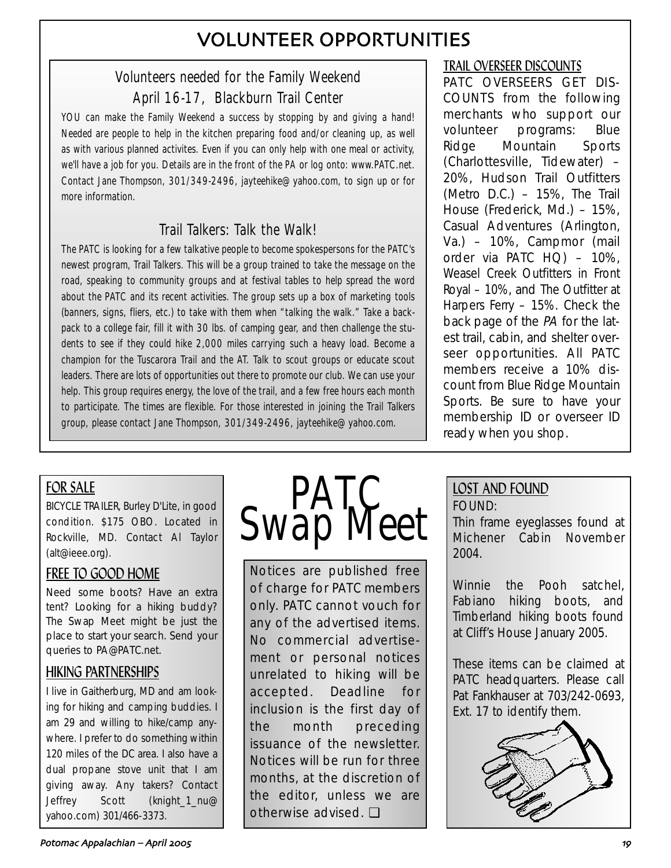# VOLUNTEER OPPORTUNITIES

## Volunteers needed for the Family Weekend April 16-17, Blackburn Trail Center

YOU can make the Family Weekend a success by stopping by and giving a hand! Needed are people to help in the kitchen preparing food and/or cleaning up, as well as with various planned activites. Even if you can only help with one meal or activity, we'll have a job for you. Details are in the front of the *PA* or log onto: www.PATC.net. Contact Jane Thompson, 301/349-2496, jayteehike@yahoo.com, to sign up or for more information.

## Trail Talkers: Talk the Walk!

The PATC is looking for a few talkative people to become spokespersons for the PATC's newest program, Trail Talkers. This will be a group trained to take the message on the road, speaking to community groups and at festival tables to help spread the word about the PATC and its recent activities. The group sets up a box of marketing tools (banners, signs, fliers, etc.) to take with them when "talking the walk." Take a backpack to a college fair, fill it with 30 lbs. of camping gear, and then challenge the students to see if they could hike 2,000 miles carrying such a heavy load. Become a champion for the Tuscarora Trail and the AT. Talk to scout groups or educate scout leaders. There are lots of opportunities out there to promote our club. We can use your help. This group requires energy, the love of the trail, and a few free hours each month to participate. The times are flexible. For those interested in joining the Trail Talkers group, please contact Jane Thompson, 301/349-2496, jayteehike@yahoo.com.

## TRAIL OVERSEER DISCOUNTS

PATC OVERSEERS GET DIS-COUNTS from the following merchants who support our volunteer programs: Blue Ridge Mountain Sports (Charlottesville, Tidewater) – 20%, Hudson Trail Outfitters (Metro D.C.) – 15%, The Trail House (Frederick, Md.) – 15%, Casual Adventures (Arlington, Va.) – 10%, Campmor (mail order via PATC HQ) – 10%, Weasel Creek Outfitters in Front Royal – 10%, and The Outfitter at Harpers Ferry – 15%. Check the back page of the PA for the latest trail, cabin, and shelter overseer opportunities. All PATC members receive a 10% discount from Blue Ridge Mountain Sports. Be sure to have your membership ID or overseer ID ready when you shop.

## FOR SALE

BICYCLE TRAILER, Burley D'Lite, in good condition. \$175 OBO. Located in Rockville, MD. Contact Al Taylor (alt@ieee.org).

## FREE TO GOOD HOME

Need some boots? Have an extra tent? Looking for a hiking buddy? The Swap Meet might be just the place to start your search. Send your queries to PA@PATC.net.

## HIKING PARTNERSHIPS

I live in Gaitherburg, MD and am looking for hiking and camping buddies. I am 29 and willing to hike/camp anywhere. I prefer to do something within 120 miles of the DC area. I also have a dual propane stove unit that I am giving away. Any takers? Contact Jeffrey Scott (knight\_1\_nu@ yahoo.com) 301/466-3373.



Notices are published free of charge for PATC members only. PATC cannot vouch for any of the advertised items. No commercial advertisement or personal notices unrelated to hiking will be accepted. Deadline for inclusion is the first day of the month preceding issuance of the newsletter. Notices will be run for three months, at the discretion of the editor, unless we are otherwise advised. ❏

## LOST AND FOUND FOUND:

Thin frame eyeglasses found at Michener Cabin November 2004.

Winnie the Pooh satchel, Fabiano hiking boots, and Timberland hiking boots found at Cliff's House January 2005.

These items can be claimed at PATC headquarters. Please call Pat Fankhauser at 703/242-0693, Ext. 17 to identify them.